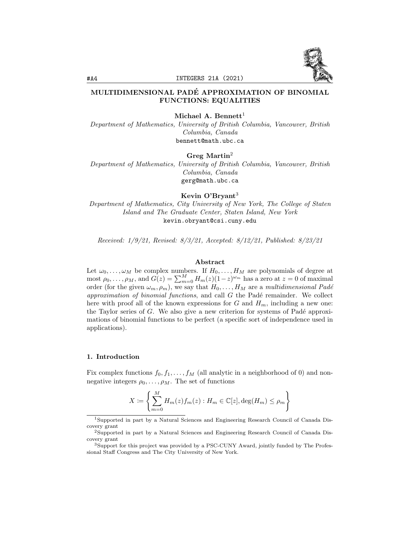

# MULTIDIMENSIONAL PADE APPROXIMATION OF BINOMIAL ´ FUNCTIONS: EQUALITIES

Michael A. Bennett<sup>1</sup>

Department of Mathematics, University of British Columbia, Vancouver, British Columbia, Canada bennett@math.ubc.ca

### Greg Martin<sup>2</sup>

Department of Mathematics, University of British Columbia, Vancouver, British Columbia, Canada gerg@math.ubc.ca

Kevin O'Bryant<sup>3</sup>

Department of Mathematics, City University of New York, The College of Staten Island and The Graduate Center, Staten Island, New York kevin.obryant@csi.cuny.edu

Received: 1/9/21, Revised: 8/3/21, Accepted: 8/12/21, Published: 8/23/21

### Abstract

Let  $\omega_0, \ldots, \omega_M$  be complex numbers. If  $H_0, \ldots, H_M$  are polynomials of degree at most  $\rho_0, \ldots, \rho_M$ , and  $G(z) = \sum_{m=0}^M H_m(z) (1-z)^{\omega_m}$  has a zero at  $z = 0$  of maximal order (for the given  $\omega_m, \rho_m$ ), we say that  $H_0, \ldots, H_M$  are a multidimensional Padé approximation of binomial functions, and call  $G$  the Padé remainder. We collect here with proof all of the known expressions for G and  $H_m$ , including a new one: the Taylor series of  $G$ . We also give a new criterion for systems of Padé approximations of binomial functions to be perfect (a specific sort of independence used in applications).

#### 1. Introduction

Fix complex functions  $f_0, f_1, \ldots, f_M$  (all analytic in a neighborhood of 0) and nonnegative integers  $\rho_0, \ldots, \rho_M$ . The set of functions

$$
X := \left\{ \sum_{m=0}^{M} H_m(z) f_m(z) : H_m \in \mathbb{C}[z], \deg(H_m) \le \rho_m \right\}
$$

<sup>1</sup>Supported in part by a Natural Sciences and Engineering Research Council of Canada Discovery grant

<sup>2</sup>Supported in part by a Natural Sciences and Engineering Research Council of Canada Discovery grant

<sup>3</sup>Support for this project was provided by a PSC-CUNY Award, jointly funded by The Professional Staff Congress and The City University of New York.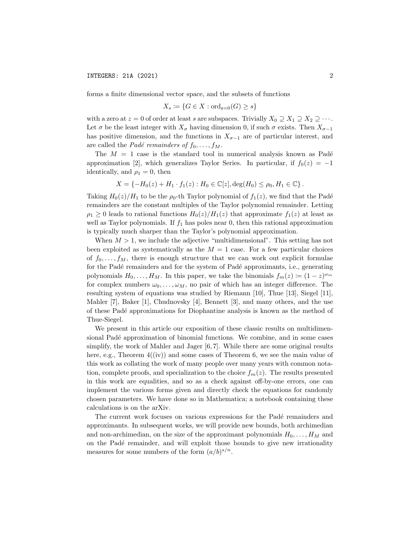forms a finite dimensional vector space, and the subsets of functions

$$
X_s \coloneqq \{ G \in X : \text{ord}_{z=0}(G) \ge s \}
$$

with a zero at  $z = 0$  of order at least s are subspaces. Trivially  $X_0 \supseteq X_1 \supseteq X_2 \supseteq \cdots$ . Let  $\sigma$  be the least integer with  $X_{\sigma}$  having dimension 0, if such  $\sigma$  exists. Then  $X_{\sigma-1}$ has positive dimension, and the functions in  $X_{\sigma-1}$  are of particular interest, and are called the *Padé remainders of*  $f_0, \ldots, f_M$ .

The  $M = 1$  case is the standard tool in numerical analysis known as Padé approximation [2], which generalizes Taylor Series. In particular, if  $f_0(z) = -1$ identically, and  $\rho_1 = 0$ , then

$$
X = \{-H_0(z) + H_1 \cdot f_1(z) : H_0 \in \mathbb{C}[z], \deg(H_0) \le \rho_0, H_1 \in \mathbb{C}\}.
$$

Taking  $H_0(z)/H_1$  to be the  $\rho_0$ -th Taylor polynomial of  $f_1(z)$ , we find that the Padé remainders are the constant multiples of the Taylor polynomial remainder. Letting  $\rho_1 \geq 0$  leads to rational functions  $H_0(z)/H_1(z)$  that approximate  $f_1(z)$  at least as well as Taylor polynomials. If  $f_1$  has poles near 0, then this rational approximation is typically much sharper than the Taylor's polynomial approximation.

When  $M > 1$ , we include the adjective "multidimensional". This setting has not been exploited as systematically as the  $M = 1$  case. For a few particular choices of  $f_0, \ldots, f_M$ , there is enough structure that we can work out explicit formulae for the Padé remainders and for the system of Padé approximants, i.e., generating polynomials  $H_0, \ldots, H_M$ . In this paper, we take the binomials  $f_m(z) := (1-z)^{\omega_m}$ for complex numbers  $\omega_0, \ldots, \omega_M$ , no pair of which has an integer difference. The resulting system of equations was studied by Riemann [10], Thue [13], Siegel [11], Mahler [7], Baker [1], Chudnovsky [4], Bennett [3], and many others, and the use of these Pad´e approximations for Diophantine analysis is known as the method of Thue-Siegel.

We present in this article our exposition of these classic results on multidimensional Padé approximation of binomial functions. We combine, and in some cases simplify, the work of Mahler and Jager [6, 7]. While there are some original results here, e.g., Theorem  $4(iv)$  and some cases of Theorem 6, we see the main value of this work as collating the work of many people over many years with common notation, complete proofs, and specialization to the choice  $f_m(z)$ . The results presented in this work are equalities, and so as a check against off-by-one errors, one can implement the various forms given and directly check the equations for randomly chosen parameters. We have done so in Mathematica; a notebook containing these calculations is on the arXiv.

The current work focuses on various expressions for the Padé remainders and approximants. In subsequent works, we will provide new bounds, both archimedian and non-archimedian, on the size of the approximant polynomials  $H_0, \ldots, H_M$  and on the Padé remainder, and will exploit those bounds to give new irrationality measures for some numbers of the form  $(a/b)^{s/n}$ .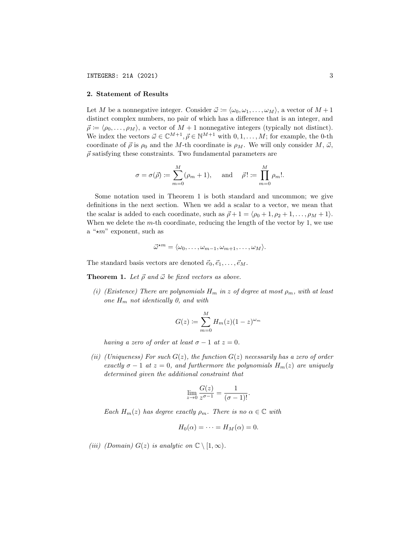## 2. Statement of Results

Let M be a nonnegative integer. Consider  $\vec{\omega} := \langle \omega_0, \omega_1, \ldots, \omega_M \rangle$ , a vector of  $M + 1$ distinct complex numbers, no pair of which has a difference that is an integer, and  $\vec{\rho} \coloneqq \langle \rho_0, \ldots, \rho_M \rangle$ , a vector of  $M + 1$  nonnegative integers (typically not distinct). We index the vectors  $\vec{\omega} \in \mathbb{C}^{M+1}, \vec{\rho} \in \mathbb{N}^{M+1}$  with  $0, 1, \ldots, M$ ; for example, the 0-th coordinate of  $\vec{\rho}$  is  $\rho_0$  and the M-th coordinate is  $\rho_M$ . We will only consider M,  $\vec{\omega}$ ,  $\vec{\rho}$  satisfying these constraints. Two fundamental parameters are

$$
\sigma = \sigma(\vec{\rho}) \coloneqq \sum_{m=0}^{M} (\rho_m + 1), \quad \text{and} \quad \vec{\rho}! \coloneqq \prod_{m=0}^{M} \rho_m!.
$$

Some notation used in Theorem 1 is both standard and uncommon; we give definitions in the next section. When we add a scalar to a vector, we mean that the scalar is added to each coordinate, such as  $\vec{\rho} + 1 = \langle \rho_0 + 1, \rho_2 + 1, \ldots, \rho_M + 1 \rangle$ . When we delete the  $m$ -th coordinate, reducing the length of the vector by 1, we use a " $\star m$ " exponent, such as

$$
\vec{\omega}^{\star m} = \langle \omega_0, \ldots, \omega_{m-1}, \omega_{m+1}, \ldots, \omega_M \rangle.
$$

The standard basis vectors are denoted  $\vec{e}_0, \vec{e}_1, \ldots, \vec{e}_M$ .

**Theorem 1.** Let  $\vec{\rho}$  and  $\vec{\omega}$  be fixed vectors as above.

(i) (Existence) There are polynomials  $H_m$  in z of degree at most  $\rho_m$ , with at least one  $H_m$  not identically 0, and with

$$
G(z) \coloneqq \sum_{m=0}^{M} H_m(z)(1-z)^{\omega_m}
$$

having a zero of order at least  $\sigma - 1$  at  $z = 0$ .

(ii) (Uniqueness) For such  $G(z)$ , the function  $G(z)$  necessarily has a zero of order exactly  $\sigma - 1$  at  $z = 0$ , and furthermore the polynomials  $H_m(z)$  are uniquely determined given the additional constraint that

$$
\lim_{z \to 0} \frac{G(z)}{z^{\sigma - 1}} = \frac{1}{(\sigma - 1)!}.
$$

Each  $H_m(z)$  has degree exactly  $\rho_m$ . There is no  $\alpha \in \mathbb{C}$  with

$$
H_0(\alpha) = \cdots = H_M(\alpha) = 0.
$$

(iii) (Domain)  $G(z)$  is analytic on  $\mathbb{C} \setminus [1,\infty)$ .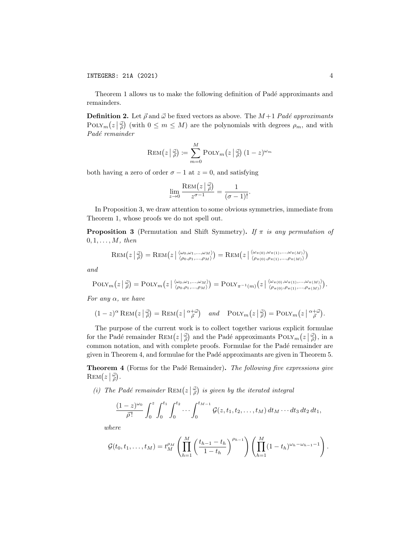INTEGERS: 21A (2021) 4

Theorem 1 allows us to make the following definition of Padé approximants and remainders.

**Definition 2.** Let  $\vec{\rho}$  and  $\vec{\omega}$  be fixed vectors as above. The  $M+1$  Padé approximants POLY<sub>m</sub> $(z|\frac{d}{\rho})$  (with  $0 \leq m \leq M$ ) are the polynomials with degrees  $\rho_m$ , and with Padé remainder

$$
\text{REM}(z \,|\, \vec{\tilde{\rho}}) \coloneqq \sum_{m=0}^{M} \text{POLY}_m\big(z \,|\, \vec{\tilde{\rho}}\big) \, (1-z)^{\omega_m}
$$

both having a zero of order  $\sigma - 1$  at  $z = 0$ , and satisfying

$$
\lim_{z \to 0} \frac{\text{Rem}(z \mid \vec{\omega})}{z^{\sigma - 1}} = \frac{1}{(\sigma - 1)!}.
$$

In Proposition 3, we draw attention to some obvious symmetries, immediate from Theorem 1, whose proofs we do not spell out.

**Proposition 3** (Permutation and Shift Symmetry). If  $\pi$  is any permutation of  $0, 1, \ldots, M$ , then

$$
\text{REM}(z \mid \vec{\tilde{\rho}}) = \text{REM}(z \mid \langle \omega_0, \omega_1, ..., \omega_M \rangle) = \text{REM}(z \mid \langle \omega_{\pi(0)}, \omega_{\pi(1)}, ..., \omega_{\pi(M)} \rangle) = \text{REM}(z \mid \langle \omega_{\pi(0)}, \omega_{\pi(1)}, ..., \omega_{\pi(M)} \rangle)
$$

and

$$
\mathrm{POLY}_m\left(z\left|\begin{array}{c}\vec{\omega}\\ \vec{\rho}\end{array}\right.\right)=\mathrm{POLY}_m\left(z\left|\begin{array}{c}\langle\omega_0,\omega_1,\ldots,\omega_M\rangle\\ \langle\rho_0,\rho_1,\ldots,\rho_M\rangle\end{array}\right.\right)=\mathrm{POLY}_{\pi^{-1}(m)}\left(z\left|\begin{array}{c}\langle\omega_{\pi(0)},\omega_{\pi(1)},\ldots,\omega_{\pi(M)}\rangle\\ \langle\rho_{\pi(0)},\rho_{\pi(1)},\ldots,\rho_{\pi(M)}\rangle\end{array}\right.\right).
$$

For any  $\alpha$ , we have

$$
(1-z)^{\alpha}\operatorname{Rem}(z\left|\tfrac{\vec{\omega}}{\beta}\right) = \operatorname{Rem}(z\left|\tfrac{\alpha+\vec{\omega}}{\beta}\right) \quad \text{and} \quad \operatorname{POLY}_m\left(z\left|\tfrac{\vec{\omega}}{\beta}\right) = \operatorname{POLY}_m\left(z\left|\tfrac{\alpha+\vec{\omega}}{\beta}\right.\right).
$$

The purpose of the current work is to collect together various explicit formulae for the Padé remainder  $\text{Rem} (z|\frac{\vec{\omega}}{\rho})$  and the Padé approximants  $\text{POLY}_m(z|\frac{\vec{\omega}}{\rho})$ , in a common notation, and with complete proofs. Formulae for the Padé remainder are given in Theorem 4, and formulae for the Pad´e approximants are given in Theorem 5.

**Theorem 4** (Forms for the Padé Remainder). The following five expressions give  $\text{REM}\left(z\left|\frac{\vec{\omega}}{\vec{\rho}}\right.\right).$ 

(i) The Padé remainder  $\text{Rem}(z \mid \vec{\phi})$  is given by the iterated integral

$$
\frac{(1-z)^{\omega_0}}{\bar{\rho}!}\int_0^z\int_0^{t_1}\int_0^{t_2}\cdots\int_0^{t_{M-1}}\mathcal{G}(z,t_1,t_2,\ldots,t_M)\,dt_M\cdots dt_3\,dt_2\,dt_1,
$$

where

$$
\mathcal{G}(t_0, t_1, \ldots, t_M) = t_M^{\rho_M} \left( \prod_{h=1}^M \left( \frac{t_{h-1} - t_h}{1 - t_h} \right)^{\rho_{h-1}} \right) \left( \prod_{h=1}^M (1 - t_h)^{\omega_h - \omega_{h-1} - 1} \right).
$$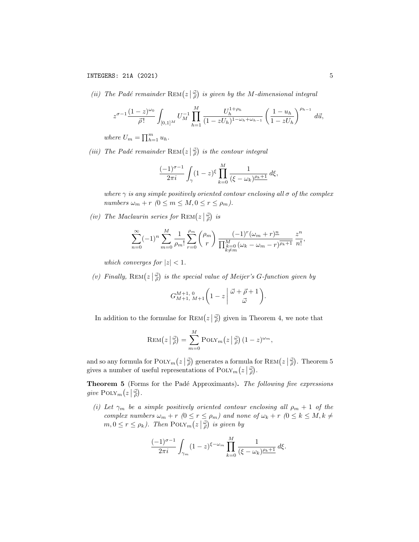(ii) The Padé remainder  $\text{Rem}(z \mid \frac{\vec{\omega}}{\rho})$  is given by the M-dimensional integral

$$
z^{\sigma-1} \frac{(1-z)^{\omega_0}}{\bar{\rho}!} \int_{[0,1]^M} U_M^{-1} \prod_{h=1}^M \frac{U_h^{1+\rho_h}}{(1-zU_h)^{1-\omega_h+\omega_{h-1}}} \left(\frac{1-u_h}{1-zU_h}\right)^{\rho_{h-1}} d\vec{u},
$$

where  $U_m = \prod_{h=1}^m u_h$ .

(iii) The Padé remainder  $\text{REM}(z \mid \frac{\vec{\omega}}{\vec{\rho}})$  is the contour integral

$$
\frac{(-1)^{\sigma-1}}{2\pi i} \int_{\gamma} (1-z)^{\xi} \prod_{k=0}^{M} \frac{1}{(\xi - \omega_k)^{\rho_k + 1}} d\xi,
$$

where  $\gamma$  is any simple positively oriented contour enclosing all  $\sigma$  of the complex numbers  $\omega_m + r$   $(0 \leq m \leq M, 0 \leq r \leq \rho_m)$ .

(iv) The Maclaurin series for  $\text{Rem}(z|\frac{\vec{\omega}}{\rho})$  is

$$
\sum_{n=0}^{\infty}(-1)^n\sum_{m=0}^M\frac{1}{\rho_m!}\sum_{r=0}^{\rho_m}\binom{\rho_m}{r}\frac{(-1)^r(\omega_m+r)^{\underline{n}}}{\prod_{\substack{k=0\\k\neq m}}^M(\omega_k-\omega_m-r)^{\overline{\rho_k+1}}}\frac{z^n}{n!},
$$

which converges for  $|z| < 1$ .

(v) Finally,  $\text{Rem}(z | \frac{\vec{\omega}}{\rho})$  is the special value of Meijer's G-function given by

$$
G_{M+1, M+1}^{M+1, 0} \left(1-z \left| \begin{array}{c} \vec{\omega} + \vec{\rho} + 1 \\ \vec{\omega} \end{array} \right.\right).
$$

In addition to the formulae for  $\text{Rem}(z|\frac{\vec{\omega}}{\rho})$  given in Theorem 4, we note that

$$
\text{REM}\big(z\,\big|\,\vec{\tilde{\rho}}\big) = \sum_{m=0}^{M} \text{POLY}_m\big(z\,\big|\,\vec{\tilde{\rho}}\big) \left(1-z\right)^{\omega_m},
$$

and so any formula for  $\text{PoLY}_m(z|\vec{\phi})$  generates a formula for  $\text{Rem} (z|\vec{\phi})$ . Theorem 5 gives a number of useful representations of  $\text{PoLY}_m(z|\vec{\phi})$ .

Theorem 5 (Forms for the Padé Approximants). The following five expressions give  $\text{POLY}_m(z|\vec{\phi})$ .

(i) Let  $\gamma_m$  be a simple positively oriented contour enclosing all  $\rho_m + 1$  of the complex numbers  $\omega_m + r$  ( $0 \le r \le \rho_m$ ) and none of  $\omega_k + r$  ( $0 \le k \le M, k \ne$  $m, 0 \le r \le \rho_k$ ). Then  $\text{PoLY}_m(z|\frac{\vec{\omega}}{\rho})$  is given by

$$
\frac{(-1)^{\sigma-1}}{2\pi i} \int_{\gamma_m} (1-z)^{\xi-\omega_m} \prod_{k=0}^M \frac{1}{(\xi-\omega_k)^{\underline{\rho_k+1}}} d\xi.
$$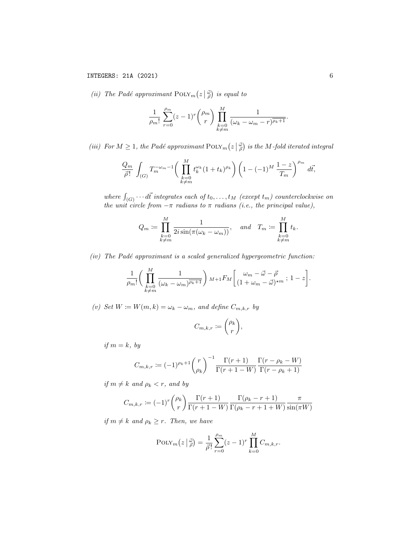(ii) The Padé approximant  $\text{PoIN}_m(z|\frac{\vec{\omega}}{\rho})$  is equal to

$$
\frac{1}{\rho_m!} \sum_{r=0}^{\rho_m} (z-1)^r \binom{\rho_m}{r} \prod_{\substack{k=0 \ k \neq m}}^M \frac{1}{(\omega_k - \omega_m - r)^{\overline{\rho_k + 1}}}
$$

(iii) For  $M \geq 1$ , the Padé approximant  $\text{Poix}_m(z|\vec{\phi})$  is the M-fold iterated integral

$$
\frac{Q_m}{\vec{\rho}!} \int_{(G)} T_m^{-\omega_m - 1} \bigg( \prod_{\substack{k=0 \\ k \neq m}}^M t_k^{\omega_k} (1 + t_k)^{\rho_k} \bigg) \left( 1 - (-1)^M \frac{1 - z}{T_m} \right)^{\rho_m} d\vec{t},
$$

where  $\int_{(G)} \cdots d\vec{t}$  integrates each of  $t_0, \ldots, t_M$  (except  $t_m$ ) counterclockwise on the unit circle from  $-\pi$  radians to  $\pi$  radians (i.e., the principal value),

$$
Q_m \coloneqq \prod_{\substack{k=0 \\ k \neq m}}^M \frac{1}{2i \sin(\pi(\omega_k - \omega_m))}, \quad \text{and} \quad T_m \coloneqq \prod_{\substack{k=0 \\ k \neq m}}^M t_k.
$$

 $(iv)$  The Padé approximant is a scaled generalized hypergeometric function:

$$
\frac{1}{\rho_m!}\bigg(\prod_{\substack{k=0\\k\neq m}}^M \frac{1}{(\omega_k-\omega_m)^{\overline{\rho_k+1}}}\bigg)_{M+1}F_M\bigg[\frac{\omega_m-\vec{\omega}-\vec{\rho}}{(1+\omega_m-\vec{\omega})^{\star m}} \,;\,1-z\bigg].
$$

(v) Set  $W \coloneqq W(m, k) = \omega_k - \omega_m$ , and define  $C_{m, k, r}$  by

$$
C_{m,k,r} := \binom{\rho_k}{r},
$$

if  $m = k$ , by

$$
C_{m,k,r} := (-1)^{\rho_k + 1} \binom{r}{\rho_k}^{-1} \frac{\Gamma(r+1)}{\Gamma(r+1-W)} \frac{\Gamma(r-\rho_k-W)}{\Gamma(r-\rho_k+1)}
$$

if  $m \neq k$  and  $\rho_k < r$ , and by

$$
C_{m,k,r} := (-1)^r \binom{\rho_k}{r} \frac{\Gamma(r+1)}{\Gamma(r+1-W)} \frac{\Gamma(\rho_k - r + 1)}{\Gamma(\rho_k - r + 1 + W)} \frac{\pi}{\sin(\pi W)}
$$

if  $m \neq k$  and  $\rho_k \geq r$ . Then, we have

$$
POLY_m(z | \frac{z}{\rho}) = \frac{1}{\rho!} \sum_{r=0}^{\rho_m} (z - 1)^r \prod_{k=0}^M C_{m,k,r}.
$$

.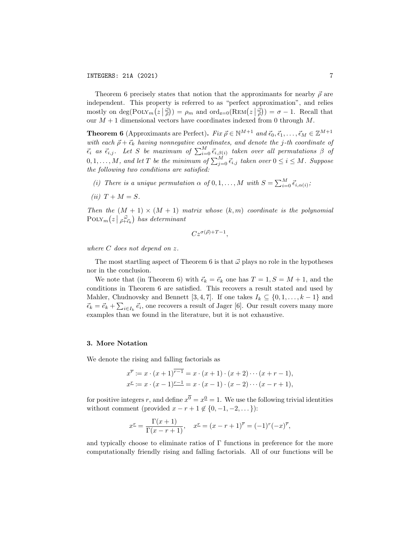Theorem 6 precisely states that notion that the approximants for nearby  $\vec{\rho}$  are independent. This property is referred to as "perfect approximation", and relies mostly on  $\deg(\text{Poix}_m(z|\vec{\rho})) = \rho_m$  and  $\text{ord}_{z=0}(\text{Rem}(z|\vec{\rho})) = \sigma - 1$ . Recall that our  $M + 1$  dimensional vectors have coordinates indexed from 0 through  $M$ .

**Theorem 6** (Approximants are Perfect). Fix  $\vec{\rho} \in \mathbb{N}^{M+1}$  and  $\vec{\epsilon}_0, \vec{\epsilon}_1, \dots, \vec{\epsilon}_M \in \mathbb{Z}^{M+1}$ with each  $\vec{\rho} + \vec{\epsilon}_k$  having nonnegative coordinates, and denote the j-th coordinate of  $\vec{\epsilon}_i$  as  $\vec{\epsilon}_{i,j}$ . Let S be maximum of  $\sum_{i=0}^{M} \vec{\epsilon}_{i,\beta(i)}$  taken over all permutations  $\beta$  of  $0, 1, \ldots, M, \textit{ and let } T \textit{ be the minimum of } \sum_{j=0}^M \vec{\epsilon}_{i,j} \textit{ taken over } 0 \leq i \leq M. \textit{ Suppose }$ the following two conditions are satisfied:

- (i) There is a unique permutation  $\alpha$  of  $0, 1, ..., M$  with  $S = \sum_{i=0}^{M} \vec{\epsilon}_{i,\alpha(i)}$ ;
- (ii)  $T + M = S$ .

Then the  $(M + 1) \times (M + 1)$  matrix whose  $(k, m)$  coordinate is the polynomial  $\text{POLY}_m(z \mid \vec{p}^{\vec{\omega}}_{+\vec{\epsilon}_k})$  has determinant

$$
C z^{\sigma(\vec{\rho})+T-1},
$$

where C does not depend on z.

The most startling aspect of Theorem 6 is that  $\vec{\omega}$  plays no role in the hypotheses nor in the conclusion.

We note that (in Theorem 6) with  $\vec{\epsilon}_k = \vec{\epsilon}_k$  one has  $T = 1, S = M + 1$ , and the conditions in Theorem 6 are satisfied. This recovers a result stated and used by Mahler, Chudnovsky and Bennett [3, 4, 7]. If one takes  $I_k \subseteq \{0, 1, \ldots, k-1\}$  and  $\vec{\epsilon}_k = \vec{e}_k + \sum_{i \in I_k} \vec{e}_i$ , one recovers a result of Jager [6]. Our result covers many more examples than we found in the literature, but it is not exhaustive.

## 3. More Notation

We denote the rising and falling factorials as

$$
x^{\overline{r}} := x \cdot (x+1)^{\overline{r-1}} = x \cdot (x+1) \cdot (x+2) \cdots (x+r-1),
$$
  
\n
$$
x^{\underline{r}} := x \cdot (x-1)^{\underline{r-1}} = x \cdot (x-1) \cdot (x-2) \cdots (x-r+1),
$$

for positive integers r, and define  $x^{\overline{0}} = x^{\underline{0}} = 1$ . We use the following trivial identities without comment (provided  $x - r + 1 \notin \{0, -1, -2, \dots\}$ ):

$$
x^{r} = \frac{\Gamma(x+1)}{\Gamma(x-r+1)}, \quad x^{r} = (x-r+1)^{\overline{r}} = (-1)^{r}(-x)^{\overline{r}},
$$

and typically choose to eliminate ratios of Γ functions in preference for the more computationally friendly rising and falling factorials. All of our functions will be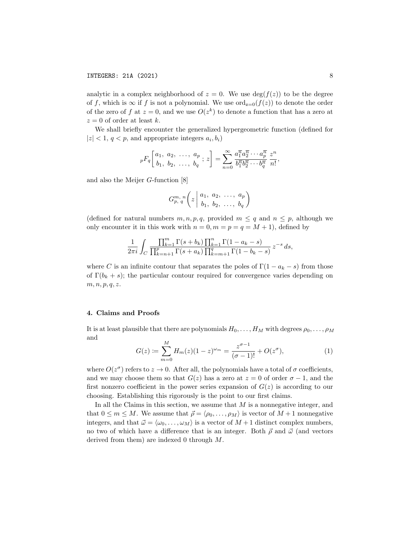analytic in a complex neighborhood of  $z = 0$ . We use  $\deg(f(z))$  to be the degree of f, which is  $\infty$  if f is not a polynomial. We use  $\text{ord}_{z=0}(f(z))$  to denote the order of the zero of f at  $z = 0$ , and we use  $O(z^k)$  to denote a function that has a zero at  $z = 0$  of order at least k.

We shall briefly encounter the generalized hypergeometric function (defined for  $|z| < 1, q < p$ , and appropriate integers  $a_i, b_i$ 

$$
{}_pF_q\left[\begin{matrix}a_1, a_2, \ldots, a_p \\ b_1, b_2, \ldots, b_q\end{matrix}; z\right] = \sum_{n=0}^{\infty} \frac{a_1^{\overline{n}} a_2^{\overline{n}} \cdots a_p^{\overline{n}}}{b_1^{\overline{n}} b_2^{\overline{n}} \cdots b_q^{\overline{n}}}\frac{z^n}{n!},
$$

and also the Meijer G-function [8]

$$
G_{p, q}^{m, n}\left(z \middle| \begin{array}{c} a_1, a_2, \ldots, a_p \\ b_1, b_2, \ldots, b_q \end{array}\right)
$$

(defined for natural numbers  $m, n, p, q$ , provided  $m \leq q$  and  $n \leq p$ , although we only encounter it in this work with  $n = 0, m = p = q = M + 1$ , defined by

$$
\frac{1}{2\pi i} \int_C \frac{\prod_{k=1}^m \Gamma(s+b_k) \prod_{k=1}^n \Gamma(1-a_k-s)}{\prod_{k=n+1}^p \Gamma(s+a_k) \prod_{k=m+1}^q \Gamma(1-b_k-s)} z^{-s} ds,
$$

where C is an infinite contour that separates the poles of  $\Gamma(1 - a_k - s)$  from those of  $\Gamma(b_k + s)$ ; the particular contour required for convergence varies depending on  $m, n, p, q, z.$ 

## 4. Claims and Proofs

It is at least plausible that there are polynomials  $H_0, \ldots, H_M$  with degrees  $\rho_0, \ldots, \rho_M$ and

$$
G(z) := \sum_{m=0}^{M} H_m(z)(1-z)^{\omega_m} = \frac{z^{\sigma-1}}{(\sigma-1)!} + O(z^{\sigma}),
$$
 (1)

where  $O(z^{\sigma})$  refers to  $z \to 0$ . After all, the polynomials have a total of  $\sigma$  coefficients, and we may choose them so that  $G(z)$  has a zero at  $z = 0$  of order  $\sigma - 1$ , and the first nonzero coefficient in the power series expansion of  $G(z)$  is according to our choosing. Establishing this rigorously is the point to our first claims.

In all the Claims in this section, we assume that  $M$  is a nonnegative integer, and that  $0 \leq m \leq M$ . We assume that  $\vec{\rho} = \langle \rho_0, \ldots, \rho_M \rangle$  is vector of  $M + 1$  nonnegative integers, and that  $\vec{\omega} = \langle \omega_0, \ldots, \omega_M \rangle$  is a vector of  $M + 1$  distinct complex numbers, no two of which have a difference that is an integer. Both  $\vec{\rho}$  and  $\vec{\omega}$  (and vectors derived from them) are indexed 0 through M.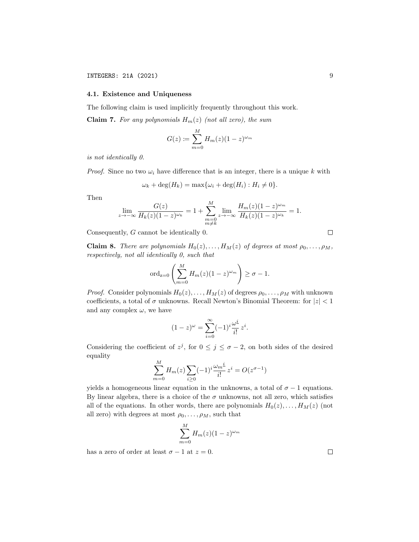## 4.1. Existence and Uniqueness

The following claim is used implicitly frequently throughout this work.

**Claim 7.** For any polynomials  $H_m(z)$  (not all zero), the sum

$$
G(z) := \sum_{m=0}^{M} H_m(z)(1-z)^{\omega_m}
$$

is not identically 0.

*Proof.* Since no two  $\omega_i$  have difference that is an integer, there is a unique k with

$$
\omega_k + \deg(H_k) = \max\{\omega_i + \deg(H_i) : H_i \neq 0\}.
$$

Then

$$
\lim_{z \to -\infty} \frac{G(z)}{H_k(z)(1-z)^{\omega_k}} = 1 + \sum_{\substack{m=0 \\ m \neq k}}^M \lim_{z \to -\infty} \frac{H_m(z)(1-z)^{\omega_m}}{H_k(z)(1-z)^{\omega_k}} = 1.
$$

Consequently, G cannot be identically 0.

**Claim 8.** There are polynomials  $H_0(z), \ldots, H_M(z)$  of degrees at most  $\rho_0, \ldots, \rho_M$ , respectively, not all identically 0, such that

$$
\operatorname{ord}_{z=0}\left(\sum_{m=0}^{M}H_m(z)(1-z)^{\omega_m}\right)\geq \sigma-1.
$$

*Proof.* Consider polynomials  $H_0(z), \ldots, H_M(z)$  of degrees  $\rho_0, \ldots, \rho_M$  with unknown coefficients, a total of  $\sigma$  unknowns. Recall Newton's Binomial Theorem: for  $|z| < 1$ and any complex  $\omega$ , we have

$$
(1-z)^{\omega} = \sum_{i=0}^{\infty} (-1)^i \frac{\omega^i}{i!} z^i.
$$

Considering the coefficient of  $z^j$ , for  $0 \leq j \leq \sigma - 2$ , on both sides of the desired equality M

$$
\sum_{m=0}^{M} H_m(z) \sum_{i \ge 0} (-1)^i \frac{\omega_m^i}{i!} z^i = O(z^{\sigma - 1})
$$

yields a homogeneous linear equation in the unknowns, a total of  $\sigma - 1$  equations. By linear algebra, there is a choice of the  $\sigma$  unknowns, not all zero, which satisfies all of the equations. In other words, there are polynomials  $H_0(z), \ldots, H_M(z)$  (not all zero) with degrees at most  $\rho_0, \ldots, \rho_M$ , such that

$$
\sum_{m=0}^{M} H_m(z)(1-z)^{\omega_m}
$$

has a zero of order at least  $\sigma - 1$  at  $z = 0$ .

 $\Box$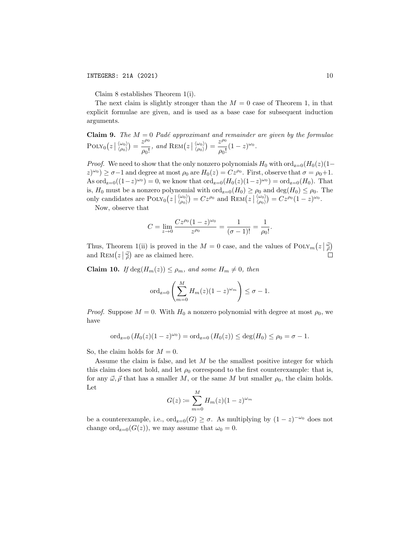Claim 8 establishes Theorem 1(i).

The next claim is slightly stronger than the  $M = 0$  case of Theorem 1, in that explicit formulae are given, and is used as a base case for subsequent induction arguments.

Claim 9. The  $M = 0$  Padé approximant and remainder are given by the formulae  $\text{POLY}_0(z \mid \langle \omega_0 \rangle) = \frac{z^{\rho_0}}{\rho_0!}$  $\frac{z^{\rho_0}}{\rho_0!}$ , and  $\text{REM}(z | \langle \frac{\omega_0}{\rho_0} \rangle) = \frac{z^{\rho_0}}{\rho_0!}$  $\frac{z^{1/3}}{\rho_0!}(1-z)^{\omega_0}.$ 

*Proof.* We need to show that the only nonzero polynomials  $H_0$  with  $\text{ord}_{z=0}(H_0(z)(1-\tau))$  $(z)^{\omega_0}$   $\geq \sigma-1$  and degree at most  $\rho_0$  are  $H_0(z) = Cz^{\rho_0}$ . First, observe that  $\sigma = \rho_0 + 1$ . As  $\text{ord}_{z=0}((1-z)^{\omega_0})=0$ , we know that  $\text{ord}_{z=0}(H_0(z)(1-z)^{\omega_0})=\text{ord}_{z=0}(H_0)$ . That is,  $H_0$  must be a nonzero polynomial with  $\text{ord}_{z=0}(H_0) \ge \rho_0$  and  $\text{deg}(H_0) \le \rho_0$ . The only candidates are  $\text{PoLY}_0(z | \langle \omega_0 \rangle) = Cz^{\rho_0}$  and  $\text{REM}(z | \langle \omega_0 \rangle) = Cz^{\rho_0} (1-z)^{\omega_0}$ .

Now, observe that

$$
C = \lim_{z \to 0} \frac{Cz^{\rho_0}(1-z)^{\omega_0}}{z^{\rho_0}} = \frac{1}{(\sigma - 1)!} = \frac{1}{\rho_0!}.
$$

Thus, Theorem 1(ii) is proved in the  $M=0$  case, and the values of  $\text{POLY}_m(z|\vec{\phi})$ and  $\text{REM}(z \mid \frac{\vec{\omega}}{\rho})$  are as claimed here.

**Claim 10.** If  $\deg(H_m(z)) \leq \rho_m$ , and some  $H_m \neq 0$ , then

$$
\operatorname{ord}_{z=0}\left(\sum_{m=0}^M H_m(z)(1-z)^{\omega_m}\right) \leq \sigma - 1.
$$

*Proof.* Suppose  $M = 0$ . With  $H_0$  a nonzero polynomial with degree at most  $\rho_0$ , we have

$$
\mathrm{ord}_{z=0}\,(H_0(z)(1-z)^{\omega_0})=\mathrm{ord}_{z=0}\,(H_0(z))\leq \deg(H_0)\leq \rho_0=\sigma-1.
$$

So, the claim holds for  $M = 0$ .

Assume the claim is false, and let  $M$  be the smallest positive integer for which this claim does not hold, and let  $\rho_0$  correspond to the first counterexample: that is, for any  $\vec{\omega}, \vec{\rho}$  that has a smaller M, or the same M but smaller  $\rho_0$ , the claim holds. Let

$$
G(z) := \sum_{m=0}^{M} H_m(z)(1-z)^{\omega_m}
$$

be a counterexample, i.e.,  $\text{ord}_{z=0}(G) \geq \sigma$ . As multiplying by  $(1-z)^{-\omega_0}$  does not change ord<sub>z=0</sub>( $G(z)$ ), we may assume that  $\omega_0 = 0$ .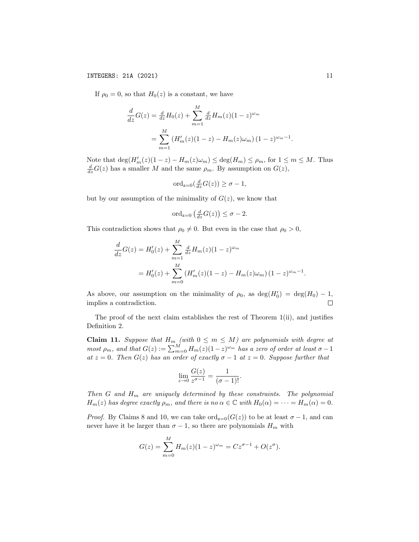If  $\rho_0 = 0$ , so that  $H_0(z)$  is a constant, we have

$$
\frac{d}{dz}G(z) = \frac{d}{dz}H_0(z) + \sum_{m=1}^{M} \frac{d}{dz}H_m(z)(1-z)^{\omega_m}
$$

$$
= \sum_{m=1}^{M} (H'_m(z)(1-z) - H_m(z)\omega_m)(1-z)^{\omega_m-1}
$$

Note that  $\deg(H'_m(z)(1-z) - H_m(z)\omega_m) \leq \deg(H_m) \leq \rho_m$ , for  $1 \leq m \leq M$ . Thus  $\frac{d}{dz}G(z)$  has a smaller M and the same  $\rho_m$ . By assumption on  $G(z)$ ,

$$
\mathrm{ord}_{z=0}(\tfrac{d}{dz}G(z))\geq \sigma-1,
$$

but by our assumption of the minimality of  $G(z)$ , we know that

$$
\operatorname{ord}_{z=0}\left(\frac{d}{dz}G(z)\right)\leq \sigma-2.
$$

This contradiction shows that  $\rho_0 \neq 0$ . But even in the case that  $\rho_0 > 0$ ,

$$
\frac{d}{dz}G(z) = H'_0(z) + \sum_{m=1}^{M} \frac{d}{dz}H_m(z)(1-z)^{\omega_m}
$$
  
=  $H'_0(z) + \sum_{m=0}^{M} (H'_m(z)(1-z) - H_m(z)\omega_m)(1-z)^{\omega_m-1}$ .

As above, our assumption on the minimality of  $\rho_0$ , as  $\deg(H'_0) = \deg(H_0) - 1$ , implies a contradiction.  $\Box$ 

The proof of the next claim establishes the rest of Theorem 1(ii), and justifies Definition 2.

**Claim 11.** Suppose that  $H_m$  (with  $0 \leq m \leq M$ ) are polynomials with degree at most  $\rho_m$ , and that  $G(z) := \sum_{m=0}^{M} H_m(z) (1-z)^{\omega_m}$  has a zero of order at least  $\sigma - 1$ at  $z = 0$ . Then  $G(z)$  has an order of exactly  $\sigma - 1$  at  $z = 0$ . Suppose further that

$$
\lim_{z \to 0} \frac{G(z)}{z^{\sigma - 1}} = \frac{1}{(\sigma - 1)!}.
$$

Then G and  $H_m$  are uniquely determined by these constraints. The polynomial  $H_m(z)$  has degree exactly  $\rho_m$ , and there is no  $\alpha \in \mathbb{C}$  with  $H_0(\alpha) = \cdots = H_m(\alpha) = 0$ .

*Proof.* By Claims 8 and 10, we can take  $\text{ord}_{z=0}(G(z))$  to be at least  $\sigma-1$ , and can never have it be larger than  $\sigma - 1$ , so there are polynomials  $H_m$  with

$$
G(z) = \sum_{m=0}^{M} H_m(z)(1-z)^{\omega_m} = Cz^{\sigma-1} + O(z^{\sigma}).
$$

.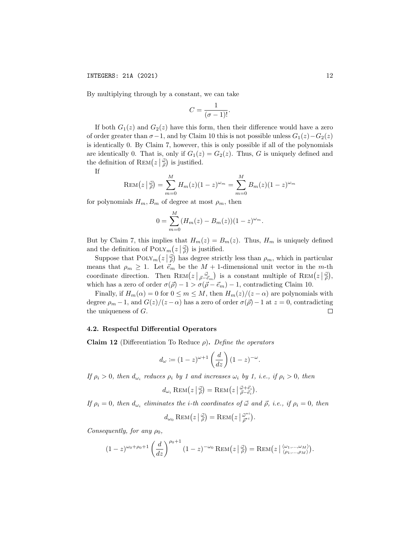By multiplying through by a constant, we can take

$$
C = \frac{1}{(\sigma - 1)!}.
$$

If both  $G_1(z)$  and  $G_2(z)$  have this form, then their difference would have a zero of order greater than  $\sigma-1$ , and by Claim 10 this is not possible unless  $G_1(z)-G_2(z)$ is identically 0. By Claim 7, however, this is only possible if all of the polynomials are identically 0. That is, only if  $G_1(z) = G_2(z)$ . Thus, G is uniquely defined and the definition of  $\text{REM}(z \mid \vec{\rho})$  is justified.

If

$$
REM(z | \vec{\phi}) = \sum_{m=0}^{M} H_m(z)(1 - z)^{\omega_m} = \sum_{m=0}^{M} B_m(z)(1 - z)^{\omega_m}
$$

for polynomials  $H_m, B_m$  of degree at most  $\rho_m$ , then

$$
0 = \sum_{m=0}^{M} (H_m(z) - B_m(z))(1 - z)^{\omega_m}.
$$

But by Claim 7, this implies that  $H_m(z) = B_m(z)$ . Thus,  $H_m$  is uniquely defined and the definition of  $\text{POLY}_m(z|\vec{\phi})$  is justified.

Suppose that  $\text{POLY}_m(z|\vec{\phi})$  has degree strictly less than  $\rho_m$ , which in particular means that  $\rho_m \geq 1$ . Let  $\vec{e}_m$  be the  $M + 1$ -dimensional unit vector in the m-th coordinate direction. Then  $\text{Rem}(z | \vec{\rho} = \vec{e}_m)$  is a constant multiple of  $\text{Rem}(z | \vec{\rho})$ , which has a zero of order  $\sigma(\vec{\rho}) - 1 > \sigma(\vec{\rho} - \vec{e}_m) - 1$ , contradicting Claim 10.

Finally, if  $H_m(\alpha) = 0$  for  $0 \leq m \leq M$ , then  $H_m(z)/(z - \alpha)$  are polynomials with degree  $\rho_m - 1$ , and  $G(z)/(z - \alpha)$  has a zero of order  $\sigma(\vec{\rho}) - 1$  at  $z = 0$ , contradicting the uniqueness of G.  $\Box$ 

## 4.2. Respectful Differential Operators

Claim 12 (Differentiation To Reduce  $\rho$ ). Define the operators

$$
d_{\omega} := (1-z)^{\omega+1} \left( \frac{d}{dz} \right) (1-z)^{-\omega}.
$$

If  $\rho_i > 0$ , then  $d_{\omega_i}$  reduces  $\rho_i$  by 1 and increases  $\omega_i$  by 1, i.e., if  $\rho_i > 0$ , then

$$
d_{\omega_i} \operatorname{REM}(z \,|\, \vec{\tilde{\rho}}) = \operatorname{Rem}(z \,|\, \vec{\tilde{\rho}} - \vec{e_i}).
$$

If  $\rho_i = 0$ , then  $d_{\omega_i}$  eliminates the *i*-th coordinates of  $\vec{\omega}$  and  $\vec{\rho}$ , *i.e.*, if  $\rho_i = 0$ , then

$$
d_{\omega_0} \operatorname{REM}(z\left|\tfrac{\vec{\omega}}{\vec{\rho}}\right) = \operatorname{Rem}(z\left|\tfrac{\vec{\omega}^{\star i}}{\vec{\rho}^{\star i}}\right).
$$

Consequently, for any  $\rho_0$ ,

$$
(1-z)^{\omega_0+\rho_0+1}\left(\frac{d}{dz}\right)^{\rho_0+1}(1-z)^{-\omega_0}\operatorname{REM}(z\left|\frac{\vec{\omega}}{\rho}\right)=\operatorname{REM}(z\left|\frac{\langle\omega_1,\ldots,\omega_M\rangle}{\langle\rho_1,\ldots,\rho_M\rangle}\right).
$$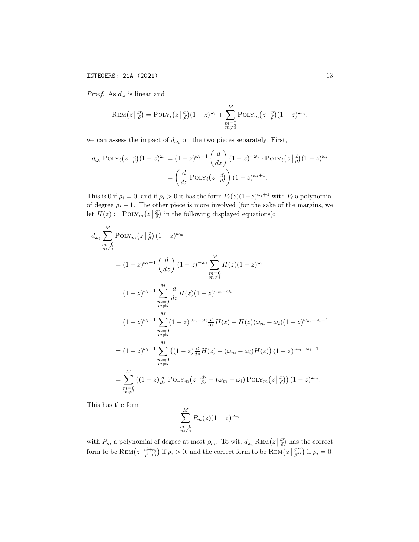INTEGERS: 21A (2021) 13

*Proof.* As  $d_{\omega}$  is linear and

$$
\text{REM}(z | \frac{\vec{\omega}}{\rho}) = \text{POLY}_i(z | \frac{\vec{\omega}}{\rho})(1 - z)^{\omega_i} + \sum_{\substack{m=0 \\ m \neq i}}^{M} \text{POLY}_m(z | \frac{\vec{\omega}}{\rho})(1 - z)^{\omega_m},
$$

we can assess the impact of  $d_{\omega_i}$  on the two pieces separately. First,

$$
d_{\omega_i} \operatorname{POLY}_i\left(z\left|\frac{d}{\rho}\right)(1-z)^{\omega_i} = (1-z)^{\omega_i+1} \left(\frac{d}{dz}\right)(1-z)^{-\omega_i} \cdot \operatorname{POLY}_i\left(z\left|\frac{d}{\rho}\right)(1-z)^{\omega_i}\right)
$$

$$
= \left(\frac{d}{dz} \operatorname{POLY}_i\left(z\left|\frac{d}{\rho}\right)\right)(1-z)^{\omega_i+1}.
$$

This is 0 if  $\rho_i = 0$ , and if  $\rho_i > 0$  it has the form  $P_i(z)(1-z)^{\omega_i+1}$  with  $P_i$  a polynomial of degree  $\rho_i - 1$ . The other piece is more involved (for the sake of the margins, we let  $H(z) \coloneqq \text{PoLY}_m\left(z \mid \frac{\vec{\omega}}{\rho}\right)$  in the following displayed equations):

$$
d_{\omega_i} \sum_{\substack{m=0 \ m \neq i}}^M \text{POLY}_m(z|\vec{\omega}) (1-z)^{\omega_m}
$$
  
\n
$$
= (1-z)^{\omega_i+1} \left(\frac{d}{dz}\right) (1-z)^{-\omega_i} \sum_{\substack{m=0 \ m \neq i}}^M H(z)(1-z)^{\omega_m}
$$
  
\n
$$
= (1-z)^{\omega_i+1} \sum_{\substack{m=0 \ m \neq i}}^M \frac{d}{dz} H(z)(1-z)^{\omega_m-\omega_i}
$$
  
\n
$$
= (1-z)^{\omega_i+1} \sum_{\substack{m=0 \ m \neq i}}^M (1-z)^{\omega_m-\omega_i} \frac{d}{dz} H(z) - H(z)(\omega_m-\omega_i)(1-z)^{\omega_m-\omega_i-1}
$$
  
\n
$$
= (1-z)^{\omega_i+1} \sum_{\substack{m=0 \ m \neq i}}^M ((1-z)\frac{d}{dz}H(z) - (\omega_m-\omega_i)H(z)) (1-z)^{\omega_m-\omega_i-1}
$$
  
\n
$$
= \sum_{\substack{m=0 \ m \neq i}}^M ((1-z)\frac{d}{dz} \text{POLY}_m(z|\vec{\omega}) - (\omega_m-\omega_i) \text{POLY}_m(z|\vec{\omega})) (1-z)^{\omega_m}.
$$

This has the form

$$
\sum_{\substack{m=0 \ m \neq i}}^{M} P_m(z) (1-z)^{\omega_m}
$$

with  $P_m$  a polynomial of degree at most  $\rho_m$ . To wit,  $d_{\omega_i} \text{Rem} (z \mid \vec{\rho})$  has the correct form to be  $\text{REM}(z \mid \vec{\phi} + \vec{e_i})$  if  $\rho_i > 0$ , and the correct form to be  $\text{REM}(z \mid \vec{\phi}^{*i}_{\vec{\rho}^{*i}})$  $\vec{\rho}^{*i}_{\vec{\rho}^{*i}}$  if  $\rho_i = 0$ .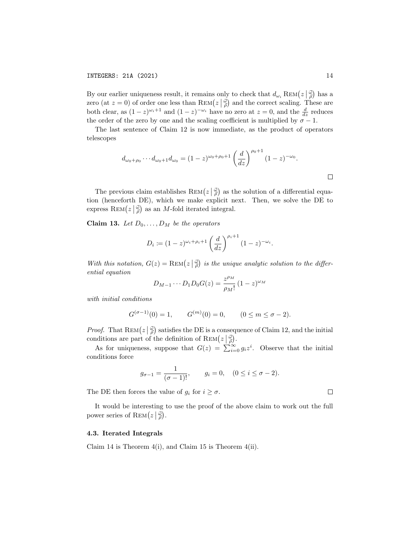By our earlier uniqueness result, it remains only to check that  $d_{\omega_i} \text{Rem} (z|\vec{\phi})$  has a zero (at  $z = 0$ ) of order one less than REM $(z | \frac{\vec{\omega}}{\vec{\rho}})$  and the correct scaling. These are  $\overline{\phantom{a}}$ both clear, as  $(1-z)^{\omega_i+1}$  and  $(1-z)^{-\omega_i}$  have no zero at  $z=0$ , and the  $\frac{d}{dz}$  reduces the order of the zero by one and the scaling coefficient is multiplied by  $\sigma - 1$ .

The last sentence of Claim 12 is now immediate, as the product of operators telescopes

$$
d_{\omega_0+\rho_0}\cdots d_{\omega_0+1}d_{\omega_0} = (1-z)^{\omega_0+\rho_0+1}\left(\frac{d}{dz}\right)^{\rho_0+1}(1-z)^{-\omega_0}.
$$

The previous claim establishes  $\text{REM}(z|\vec{\phi})$  as the solution of a differential equation (henceforth DE), which we make explicit next. Then, we solve the DE to express  $\text{REM}(z \mid \frac{\vec{\omega}}{\rho})$  as an M-fold iterated integral.

**Claim 13.** Let  $D_0, \ldots, D_M$  be the operators

$$
D_i := (1-z)^{\omega_i + \rho_i + 1} \left(\frac{d}{dz}\right)^{\rho_i + 1} (1-z)^{-\omega_i}.
$$

With this notation,  $G(z) = \text{REM}(z | \frac{\vec{\omega}}{\rho})$  is the unique analytic solution to the differential equation

$$
D_{M-1}\cdots D_1 D_0 G(z) = \frac{z^{\rho_M}}{\rho_M!} (1-z)^{\omega_M}
$$

with initial conditions

$$
G^{(\sigma-1)}(0) = 1,
$$
  $G^{(m)}(0) = 0,$   $(0 \le m \le \sigma - 2).$ 

*Proof.* That  $\text{Rem} (z | \vec{\phi})$  satisfies the DE is a consequence of Claim 12, and the initial conditions are part of the definition of REM $(z|\frac{\vec{\omega}}{\rho})$ .

As for uniqueness, suppose that  $G(z) = \sum_{i=0}^{\infty} g_i z^i$ . Observe that the initial conditions force

$$
g_{\sigma-1} = \frac{1}{(\sigma - 1)!}
$$
,  $g_i = 0$ ,  $(0 \le i \le \sigma - 2)$ .

The DE then forces the value of  $g_i$  for  $i \geq \sigma$ .

It would be interesting to use the proof of the above claim to work out the full power series of  $\text{REM}(z \mid \vec{\phi})$ .

## 4.3. Iterated Integrals

Claim 14 is Theorem 4(i), and Claim 15 is Theorem 4(ii).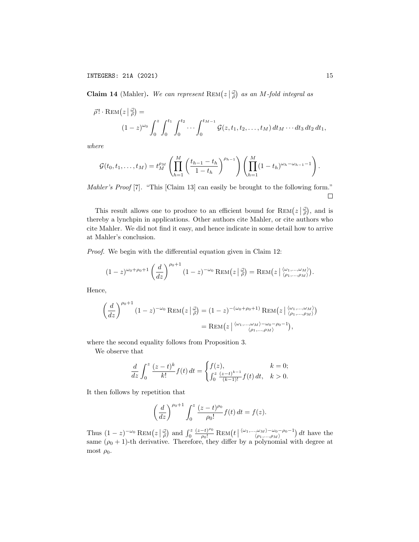**Claim 14** (Mahler). We can represent  $\text{REM}(z|\frac{d}{\rho})$  as an M-fold integral as

$$
\vec{\rho}!\cdot\operatorname{Rem}(z|\frac{\vec{\omega}}{\rho}) =
$$
  

$$
(1-z)^{\omega_0} \int_0^z \int_0^{t_1} \int_0^{t_2} \cdots \int_0^{t_{M-1}} \mathcal{G}(z,t_1,t_2,\ldots,t_M) dt_M \cdots dt_3 dt_2 dt_1,
$$

where

$$
\mathcal{G}(t_0, t_1, \ldots, t_M) = t_M^{\rho_M} \left( \prod_{h=1}^M \left( \frac{t_{h-1} - t_h}{1 - t_h} \right)^{\rho_{h-1}} \right) \left( \prod_{h=1}^M (1 - t_h)^{\omega_h - \omega_{h-1} - 1} \right).
$$

Mahler's Proof [7]. "This [Claim 13] can easily be brought to the following form."  $\Box$ 

This result allows one to produce to an efficient bound for  $\text{Rem} (z|\frac{\vec{\omega}}{\rho})$ , and is thereby a lynchpin in applications. Other authors cite Mahler, or cite authors who cite Mahler. We did not find it easy, and hence indicate in some detail how to arrive at Mahler's conclusion.

Proof. We begin with the differential equation given in Claim 12:

$$
(1-z)^{\omega_0+\rho_0+1}\left(\frac{d}{dz}\right)^{\rho_0+1}(1-z)^{-\omega_0}\operatorname{REM}(z\left|\frac{w}{\rho}\right)=\operatorname{REM}(z\left|\frac{\langle\omega_1,\ldots,\omega_M\rangle}{\langle\rho_1,\ldots,\rho_M\rangle}\right).
$$

Hence,

$$
\left(\frac{d}{dz}\right)^{\rho_0+1} (1-z)^{-\omega_0} \operatorname{Rem}(z \mid \vec{\rho}) = (1-z)^{-(\omega_0+\rho_0+1)} \operatorname{Rem}(z \mid \langle \omega_1, \ldots, \omega_M \rangle)
$$

$$
= \operatorname{Rem}(z \mid \langle \omega_1, \ldots, \omega_M \rangle - \omega_0 - \rho_0 - 1),
$$

where the second equality follows from Proposition 3.

We observe that

$$
\frac{d}{dz} \int_0^z \frac{(z-t)^k}{k!} f(t) dt = \begin{cases} f(z), & k = 0; \\ \int_0^z \frac{(z-t)^{k-1}}{(k-1)!} f(t) dt, & k > 0. \end{cases}
$$

It then follows by repetition that

$$
\left(\frac{d}{dz}\right)^{\rho_0+1} \int_0^z \frac{(z-t)^{\rho_0}}{\rho_0!} f(t) dt = f(z).
$$

Thus  $(1-z)^{-\omega_0} \text{Rem}(z|\vec{\phi})$  and  $\int_0^z$  $\frac{(z-t)^{\rho_0}}{\rho_0!}$  REM $(t \mid \langle \omega_1,...,\omega_M \rangle - \omega_0 - \rho_0-1)$  dt have the same  $(\rho_0 + 1)$ -th derivative. Therefore, they differ by a polynomial with degree at most  $\rho_0$ .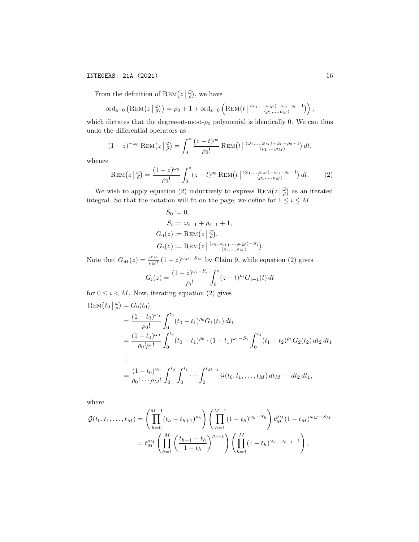## INTEGERS: 21A (2021) 16

From the definition of  $\text{REM}(z|\frac{\vec{\omega}}{\rho})$ , we have

$$
\mathrm{ord}_{z=0}\left(\mathrm{REM}\left(z\left|\begin{array}{l}\vec{\omega}\end{array}\right|\right)=\rho_0+1+\mathrm{ord}_{z=0}\left(\mathrm{REM}\left(t\left|\begin{array}{l}\langle\omega_1,\ldots,\omega_M\rangle-\omega_0-\rho_0-1\rangle\\ \langle\rho_1,\ldots,\rho_M\rangle\end{array}\right|\right),\right.
$$

which dictates that the degree-at-most- $\rho_0$  polynomial is identically 0. We can thus undo the differential operators as

$$
(1-z)^{-\omega_0} \operatorname{Rem} (z | \frac{\vec{\omega}}{\rho}) = \int_0^z \frac{(z-t)^{\rho_0}}{\rho_0!} \operatorname{Rem} (t | \langle \omega_1,...,\omega_M \rangle - \omega_0 - \rho_0 - 1) dt,
$$

whence

$$
\text{REM}\big(z\,\big|\,\vec{\rho}\big) = \frac{(1-z)^{\omega_0}}{\rho_0!} \int_0^z (z-t)^{\rho_0} \,\text{Rem}\big(t\,\big|\,\frac{\langle \omega_1, \dots, \omega_M \rangle - \omega_0 - \rho_0 - 1}{\langle \rho_1, \dots, \rho_M \rangle}\big) \, dt. \tag{2}
$$

We wish to apply equation (2) inductively to express  $\text{Rem} (z | \frac{\vec{\omega}}{\rho})$  as an iterated integral. So that the notation will fit on the page, we define for  $1 \leq i \leq M$ 

$$
S_0 := 0,
$$
  
\n
$$
S_i := \omega_{i-1} + \rho_{i-1} + 1,
$$
  
\n
$$
G_0(z) := \text{REM}(z | \frac{\vec{\omega}}{\rho}),
$$
  
\n
$$
G_i(z) := \text{REM}(z | \frac{\langle \omega_i, \omega_{i+1}, ..., \omega_M \rangle - S_i}{\langle \rho_i, ..., \rho_M \rangle}).
$$

Note that  $G_M(z) = \frac{z^{\rho_M}}{a_M!}$  $\frac{z^{\rho_M}}{\rho_M!}$   $(1-z)^{\omega_M-S_M}$  by Claim 9, while equation (2) gives

$$
G_i(z) = \frac{(1-z)^{\omega_i - S_i}}{\rho_i!} \int_0^z (z-t)^{\rho_i} G_{i+1}(t) dt
$$

for  $0 \leq i \leq M$ . Now, iterating equation (2) gives

$$
\begin{split} \text{REM}(t_0 | \frac{d}{\rho}) &= G_0(t_0) \\ &= \frac{(1 - t_0)^{\omega_0}}{\rho_0!} \int_0^{t_0} (t_0 - t_1)^{\rho_0} G_1(t_1) \, dt_1 \\ &= \frac{(1 - t_0)^{\omega_0}}{\rho_0! \rho_1!} \int_0^{t_0} (t_0 - t_1)^{\rho_0} \cdot (1 - t_1)^{\omega_1 - S_1} \int_0^{t_1} (t_1 - t_2)^{\rho_1} G_2(t_2) \, dt_2 \, dt_1 \\ &\vdots \\ &= \frac{(1 - t_0)^{\omega_0}}{\rho_0! \cdots \rho_M!} \int_0^{t_0} \int_0^{t_1} \cdots \int_0^{t_{M-1}} \mathcal{G}(t_0, t_1, \dots, t_M) \, dt_M \cdots dt_2 \, dt_1, \end{split}
$$

where

$$
\mathcal{G}(t_0, t_1, \dots, t_M) = \left( \prod_{h=0}^{M-1} (t_h - t_{h+1})^{\rho_h} \right) \left( \prod_{h=1}^{M-1} (1 - t_h)^{\omega_h - S_h} \right) t_M^{\rho_M} (1 - t_M)^{\omega_M - S_M}
$$
  
=  $t_M^{\rho_M} \left( \prod_{h=1}^M \left( \frac{t_{h-1} - t_h}{1 - t_h} \right)^{\rho_{h-1}} \right) \left( \prod_{h=1}^M (1 - t_h)^{\omega_h - \omega_{h-1} - 1} \right),$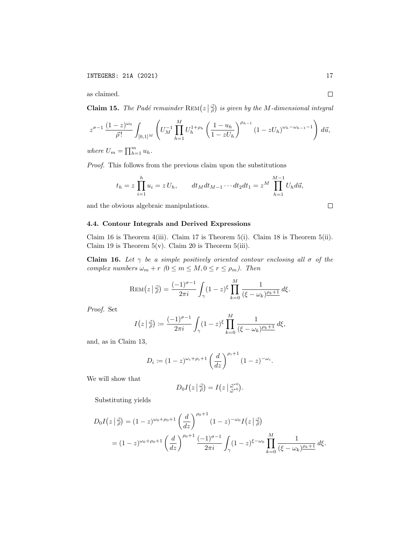as claimed.

**Claim 15.** The Padé remainder  $\text{REM}(z|\frac{d}{\rho})$  is given by the M-dimensional integral

$$
z^{\sigma-1} \frac{(1-z)^{\omega_0}}{\vec{\rho}!} \int_{[0,1]^M} \left( U_M^{-1} \prod_{h=1}^M U_h^{1+\rho_h} \left( \frac{1-u_h}{1-zU_h} \right)^{\rho_{h-1}} (1-zU_h)^{\omega_h-\omega_{h-1}-1} \right) d\vec{u},
$$

where  $U_m = \prod_{h=1}^m u_h$ .

Proof. This follows from the previous claim upon the substitutions

$$
t_h = z \prod_{i=1}^h u_i = z U_h,
$$
  $dt_M dt_{M-1} \cdots dt_2 dt_1 = z^M \prod_{h=1}^{M-1} U_h d\vec{u},$ 

and the obvious algebraic manipulations.

### 4.4. Contour Integrals and Derived Expressions

Claim 16 is Theorem 4(iii). Claim 17 is Theorem 5(i). Claim 18 is Theorem 5(ii). Claim 19 is Theorem  $5(v)$ . Claim 20 is Theorem  $5(iii)$ .

**Claim 16.** Let  $\gamma$  be a simple positively oriented contour enclosing all  $\sigma$  of the complex numbers  $\omega_m + r$  ( $0 \leq m \leq M, 0 \leq r \leq \rho_m$ ). Then

$$
\text{REM}\big(z\,\big|\,\vec{\tilde{\rho}}\big) = \frac{(-1)^{\sigma-1}}{2\pi i} \int_{\gamma} (1-z)^{\xi} \prod_{k=0}^{M} \frac{1}{(\xi-\omega_k)^{\rho_k+1}} \,d\xi.
$$

Proof. Set

$$
I(z \mid \vec{\rho}) := \frac{(-1)^{\sigma - 1}}{2\pi i} \int_{\gamma} (1 - z)^{\xi} \prod_{k=0}^{M} \frac{1}{(\xi - \omega_k)^{\rho_k + 1}} d\xi,
$$

and, as in Claim 13,

$$
D_i := (1-z)^{\omega_i + \rho_i + 1} \left(\frac{d}{dz}\right)^{\rho_i + 1} (1-z)^{-\omega_i}.
$$

We will show that

$$
D_0I(z|\vec{\phi})=I(z|\vec{\phi}^{*0}_{\vec{\omega}^{*0}}).
$$

Substituting yields

$$
D_0 I(z | \frac{z}{\rho}) = (1 - z)^{\omega_0 + \rho_0 + 1} \left(\frac{d}{dz}\right)^{\rho_0 + 1} (1 - z)^{-\omega_0} I(z | \frac{z}{\rho})
$$
  
=  $(1 - z)^{\omega_0 + \rho_0 + 1} \left(\frac{d}{dz}\right)^{\rho_0 + 1} \frac{(-1)^{\sigma - 1}}{2\pi i} \int_{\gamma} (1 - z)^{\xi - \omega_0} \prod_{k=0}^{M} \frac{1}{(\xi - \omega_k)^{\rho_k + 1}} d\xi.$ 

 $\Box$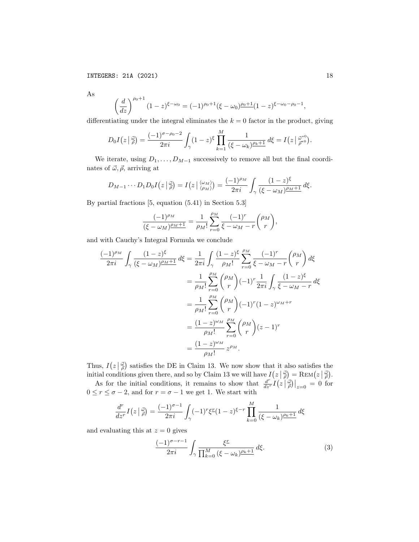As

$$
\left(\frac{d}{dz}\right)^{\rho_0+1} (1-z)^{\xi-\omega_0} = (-1)^{\rho_0+1} (\xi-\omega_0)^{\rho_0+1} (1-z)^{\xi-\omega_0-\rho_0-1},
$$

differentiating under the integral eliminates the  $k = 0$  factor in the product, giving

$$
D_0I(z|\vec{\phi}) = \frac{(-1)^{\sigma-\rho_0-2}}{2\pi i} \int_{\gamma} (1-z)^{\xi} \prod_{k=1}^M \frac{1}{(\xi-\omega_k)^{\rho_k+1}} d\xi = I(z|\vec{\phi}^{*0})
$$

We iterate, using  $D_1, \ldots, D_{M-1}$  successively to remove all but the final coordinates of  $\vec{\omega}, \vec{\rho}$ , arriving at

$$
D_{M-1}\cdots D_1D_0I(z|\frac{d}{\rho})=I(z|\frac{\langle \omega_M \rangle}{\langle \rho_M \rangle})=\frac{(-1)^{\rho_M}}{2\pi i}\int_{\gamma}\frac{(1-z)^{\xi}}{(\xi-\omega_M)^{\rho_M+1}}d\xi.
$$

By partial fractions [5, equation (5.41) in Section 5.3]

$$
\frac{(-1)^{\rho_M}}{(\xi - \omega_M)^{\rho_M + 1}} = \frac{1}{\rho_M!} \sum_{r=0}^{\rho_M} \frac{(-1)^r}{\xi - \omega_M - r} {\rho_M \choose r},
$$

and with Cauchy's Integral Formula we conclude

$$
\frac{(-1)^{\rho_M}}{2\pi i} \int_{\gamma} \frac{(1-z)^{\xi}}{(\xi - \omega_M)^{\rho_M + 1}} d\xi = \frac{1}{2\pi i} \int_{\gamma} \frac{(1-z)^{\xi}}{\rho_M!} \sum_{r=0}^{\rho_M} \frac{(-1)^r}{\xi - \omega_M - r} {(\rho_M) \choose r} d\xi
$$
  

$$
= \frac{1}{\rho_M!} \sum_{r=0}^{\rho_M} {\rho_M \choose r} (-1)^r \frac{1}{2\pi i} \int_{\gamma} \frac{(1-z)^{\xi}}{\xi - \omega_M - r} d\xi
$$
  

$$
= \frac{1}{\rho_M!} \sum_{r=0}^{\rho_M} {\rho_M \choose r} (-1)^r (1-z)^{\omega_M + r}
$$
  

$$
= \frac{(1-z)^{\omega_M}}{\rho_M!} \sum_{r=0}^{\rho_M} {\rho_M \choose r} (z-1)^r
$$
  

$$
= \frac{(1-z)^{\omega_M}}{\rho_M!} z^{\rho_M}.
$$

Thus,  $I(z|\vec{\phi})$  satisfies the DE in Claim 13. We now show that it also satisfies the initial conditions given there, and so by Claim 13 we will have  $I(z|\vec{\phi}) = \text{REM}(z|\vec{\phi})$ .

As for the initial conditions, it remains to show that  $\frac{d^{r}}{dz^{r}}I(z|\vec{\phi})|_{z=0}=0$  for  $0 \le r \le \sigma - 2$ , and for  $r = \sigma - 1$  we get 1. We start with

$$
\frac{d^r}{dz^r}I(z|\vec{\tilde{\rho}}) = \frac{(-1)^{\sigma-1}}{2\pi i} \int_{\gamma} (-1)^r \xi^r (1-z)^{\xi-r} \prod_{k=0}^M \frac{1}{(\xi - \omega_k)^{\rho_k + 1}} d\xi
$$

and evaluating this at  $z = 0$  gives

$$
\frac{(-1)^{\sigma-r-1}}{2\pi i} \int_{\gamma} \frac{\xi^{\underline{r}}}{\prod_{k=0}^{M} (\xi - \omega_k)^{\underline{\rho_k}+1}} d\xi.
$$
 (3)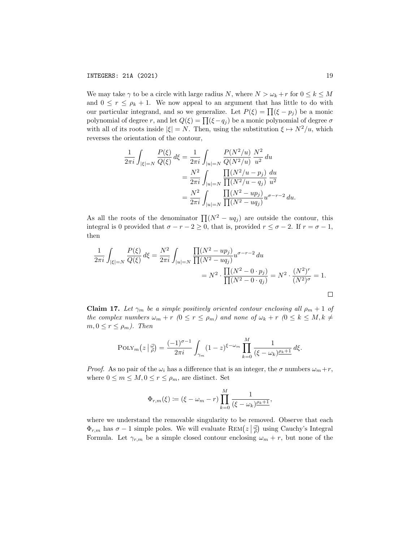We may take  $\gamma$  to be a circle with large radius N, where  $N > \omega_k + r$  for  $0 \leq k \leq M$ and  $0 \leq r \leq \rho_k + 1$ . We now appeal to an argument that has little to do with our particular integrand, and so we generalize. Let  $P(\xi) = \prod (\xi - p_j)$  be a monic polynomial of degree r, and let  $Q(\xi) = \prod(\xi - q_j)$  be a monic polynomial of degree  $\sigma$ with all of its roots inside  $|\xi| = N$ . Then, using the substitution  $\xi \mapsto N^2/u$ , which reverses the orientation of the contour,

$$
\frac{1}{2\pi i} \int_{|\xi|=N} \frac{P(\xi)}{Q(\xi)} d\xi = \frac{1}{2\pi i} \int_{|u|=N} \frac{P(N^2/u)}{Q(N^2/u)} \frac{N^2}{u^2} du
$$
  
= 
$$
\frac{N^2}{2\pi i} \int_{|u|=N} \frac{\prod_{i} (N^2/u - p_j)}{\prod_{i} (N^2/u - q_j)} \frac{du}{u^2}
$$
  
= 
$$
\frac{N^2}{2\pi i} \int_{|u|=N} \frac{\prod_{i} (N^2 - up_j)}{\prod_{i} (N^2 - up_j)} u^{\sigma - r - 2} du.
$$

As all the roots of the denominator  $\prod (N^2 - uq_j)$  are outside the contour, this integral is 0 provided that  $\sigma - r - 2 \ge 0$ , that is, provided  $r \le \sigma - 2$ . If  $r = \sigma - 1$ , then

$$
\frac{1}{2\pi i} \int_{|\xi|=N} \frac{P(\xi)}{Q(\xi)} d\xi = \frac{N^2}{2\pi i} \int_{|u|=N} \frac{\prod (N^2 - up_j)}{\prod (N^2 - uq_j)} u^{\sigma - r - 2} du
$$
  
=  $N^2 \cdot \frac{\prod (N^2 - 0 \cdot p_j)}{\prod (N^2 - 0 \cdot q_j)} = N^2 \cdot \frac{(N^2)^r}{(N^2)^{\sigma}} = 1.$ 

**Claim 17.** Let  $\gamma_m$  be a simple positively oriented contour enclosing all  $\rho_m + 1$  of the complex numbers  $\omega_m + r$  ( $0 \le r \le \rho_m$ ) and none of  $\omega_k + r$  ( $0 \le k \le M, k \ne$  $m, 0 \leq r \leq \rho_m$ ). Then

$$
POLY_m(z|\vec{\tilde{\rho}}) = \frac{(-1)^{\sigma-1}}{2\pi i} \int_{\gamma_m} (1-z)^{\xi-\omega_m} \prod_{k=0}^M \frac{1}{(\xi-\omega_k)^{\rho_k+1}} d\xi.
$$

*Proof.* As no pair of the  $\omega_i$  has a difference that is an integer, the  $\sigma$  numbers  $\omega_m + r$ , where  $0 \leq m \leq M, 0 \leq r \leq \rho_m$ , are distinct. Set

$$
\Phi_{r,m}(\xi) := (\xi - \omega_m - r) \prod_{k=0}^M \frac{1}{(\xi - \omega_k)^{\rho_k + 1}},
$$

where we understand the removable singularity to be removed. Observe that each  $\Phi_{r,m}$  has  $\sigma - 1$  simple poles. We will evaluate  $\text{REM}(z|\frac{\vec{\omega}}{\rho})$  using Cauchy's Integral Formula. Let  $\gamma_{r,m}$  be a simple closed contour enclosing  $\omega_m + r$ , but none of the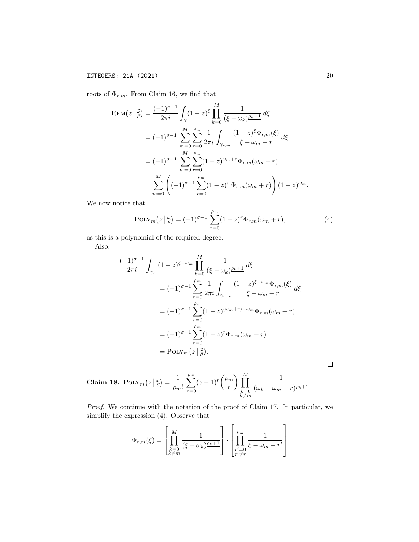roots of  $\Phi_{r,m}$ . From Claim 16, we find that

$$
\text{REM}(z | \frac{v}{\rho}) = \frac{(-1)^{\sigma - 1}}{2\pi i} \int_{\gamma} (1 - z)^{\xi} \prod_{k=0}^{M} \frac{1}{(\xi - \omega_k)^{\rho_k + 1}} d\xi
$$
  
=  $(-1)^{\sigma - 1} \sum_{m=0}^{M} \sum_{r=0}^{\rho_m} \frac{1}{2\pi i} \int_{\gamma_{r,m}} \frac{(1 - z)^{\xi} \Phi_{r,m}(\xi)}{\xi - \omega_m - r} d\xi$   
=  $(-1)^{\sigma - 1} \sum_{m=0}^{M} \sum_{r=0}^{\rho_m} (1 - z)^{\omega_m + r} \Phi_{r,m}(\omega_m + r)$   
=  $\sum_{m=0}^{M} \left( (-1)^{\sigma - 1} \sum_{r=0}^{\rho_m} (1 - z)^{r} \Phi_{r,m}(\omega_m + r) \right) (1 - z)^{\omega_m}.$ 

We now notice that

$$
POLY_m(z | \vec{\phi}) = (-1)^{\sigma - 1} \sum_{r=0}^{\rho_m} (1 - z)^r \Phi_{r,m}(\omega_m + r), \tag{4}
$$

as this is a polynomial of the required degree.

Also,

$$
\frac{(-1)^{\sigma-1}}{2\pi i} \int_{\gamma_m} (1-z)^{\xi-\omega_m} \prod_{k=0}^M \frac{1}{(\xi-\omega_k)^{\rho_k+1}} d\xi
$$
  

$$
= (-1)^{\sigma-1} \sum_{r=0}^{\rho_m} \frac{1}{2\pi i} \int_{\gamma_{m,r}} \frac{(1-z)^{\xi-\omega_m} \Phi_{r,m}(\xi)}{\xi-\omega_m-r} d\xi
$$
  

$$
= (-1)^{\sigma-1} \sum_{r=0}^{\rho_m} (1-z)^{(\omega_m+r)-\omega_m} \Phi_{r,m}(\omega_m+r)
$$
  

$$
= (-1)^{\sigma-1} \sum_{r=0}^{\rho_m} (1-z)^r \Phi_{r,m}(\omega_m+r)
$$
  

$$
= \text{PoLY}_m(z \mid \vec{\beta}).
$$

 $\Box$ 

**Claim 18.** 
$$
\text{POLY}_m(z \mid \frac{\vec{\omega}}{\rho}) = \frac{1}{\rho_m!} \sum_{r=0}^{\rho_m} (z-1)^r { \rho_m \choose r} \prod_{\substack{k=0 \ k \neq m}}^M \frac{1}{(\omega_k - \omega_m - r)^{\overline{\rho_k + 1}}}.
$$

Proof. We continue with the notation of the proof of Claim 17. In particular, we simplify the expression (4). Observe that

$$
\Phi_{r,m}(\xi) = \left[ \prod_{\substack{k=0 \\ k \neq m}}^M \frac{1}{(\xi - \omega_k)^{\underline{\rho_k + 1}}} \right] \cdot \left[ \prod_{\substack{r' = 0 \\ r' \neq r}}^{\rho_m} \frac{1}{\xi - \omega_m - r'} \right]
$$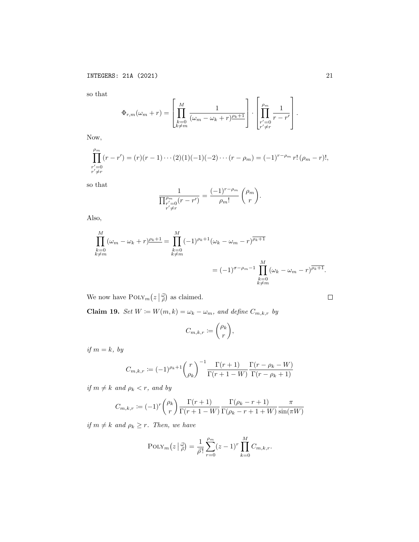so that

$$
\Phi_{r,m}(\omega_m+r) = \left[ \prod_{\substack{k=0 \ k \neq m}}^M \frac{1}{(\omega_m - \omega_k+r)^{\underline{\rho_k}+1}} \right] \cdot \left[ \prod_{\substack{r'=0 \ r'\neq r}}^{\rho_m} \frac{1}{r-r'} \right].
$$

Now,

$$
\prod_{\substack{r'=0\\r'\neq r}}^{p_m} (r-r') = (r)(r-1)\cdots(2)(1)(-1)(-2)\cdots(r-\rho_m) = (-1)^{r-\rho_m} r! \, (\rho_m-r)!,
$$

so that

$$
\frac{1}{\prod_{\substack{r'=0\\r'\neq r}}^{\rho_m}(r-r')}=\frac{(-1)^{r-\rho_m}}{\rho_m!}\binom{\rho_m}{r}.
$$

Also,

$$
\prod_{\substack{k=0\\k\neq m}}^{M} (\omega_m - \omega_k + r)^{\rho_k + 1} = \prod_{\substack{k=0\\k\neq m}}^{M} (-1)^{\rho_k + 1} (\omega_k - \omega_m - r)^{\overline{\rho_k + 1}}
$$
\n
$$
= (-1)^{\sigma - \rho_m - 1} \prod_{\substack{k=0\\k\neq m}}^{M} (\omega_k - \omega_m - r)^{\overline{\rho_k + 1}}.
$$

We now have  $\text{PoLY}_m(z|\frac{\vec{\omega}}{\rho})$  as claimed.

**Claim 19.** Set  $W := W(m, k) = \omega_k - \omega_m$ , and define  $C_{m, k, r}$  by

$$
C_{m,k,r} := \binom{\rho_k}{r},
$$

if  $m = k$ , by

$$
C_{m,k,r} := (-1)^{\rho_k+1} \binom{r}{\rho_k}^{-1} \frac{\Gamma(r+1)}{\Gamma(r+1-W)} \frac{\Gamma(r-\rho_k-W)}{\Gamma(r-\rho_k+1)}
$$

if  $m \neq k$  and  $\rho_k < r$ , and by

$$
C_{m,k,r} := (-1)^r \binom{\rho_k}{r} \frac{\Gamma(r+1)}{\Gamma(r+1-W)} \frac{\Gamma(\rho_k - r + 1)}{\Gamma(\rho_k - r + 1 + W)} \frac{\pi}{\sin(\pi W)}
$$

if  $m \neq k$  and  $\rho_k \geq r$ . Then, we have

$$
POLY_m(z | \frac{z}{\rho}) = \frac{1}{\rho!} \sum_{r=0}^{\rho_m} (z-1)^r \prod_{k=0}^M C_{m,k,r}.
$$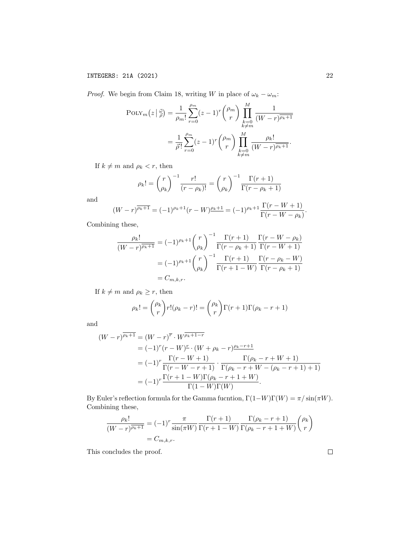*Proof.* We begin from Claim 18, writing W in place of  $\omega_k - \omega_m$ :

$$
\text{POLY}_{m}(z | \frac{z}{\rho}) = \frac{1}{\rho_{m}!} \sum_{r=0}^{\rho_{m}} (z-1)^{r} { \rho_{m} \choose r} \prod_{\substack{k=0 \\ k \neq m}}^{M} \frac{1}{(W-r)^{\overline{\rho_{k}+1}}}
$$

$$
= \frac{1}{\overline{\rho}!} \sum_{r=0}^{\rho_{m}} (z-1)^{r} { \rho_{m} \choose r} \prod_{\substack{k=0 \\ k \neq m}}^{M} \frac{\rho_{k}!}{(W-r)^{\overline{\rho_{k}+1}}}.
$$

If  $k \neq m$  and  $\rho_k < r$ , then

$$
\rho_k! = {r \choose \rho_k}^{-1} \frac{r!}{(r - \rho_k)!} = {r \choose \rho_k}^{-1} \frac{\Gamma(r+1)}{\Gamma(r - \rho_k + 1)}
$$

and

$$
(W-r)^{\overline{\rho_k+1}} = (-1)^{\rho_k+1}(r-W)^{\rho_k+1} = (-1)^{\rho_k+1} \frac{\Gamma(r-W+1)}{\Gamma(r-W-\rho_k)}.
$$

Combining these,

$$
\frac{\rho_k!}{(W-r)^{\overline{\rho_k+1}}} = (-1)^{\rho_k+1} {r \choose \rho_k}^{-1} \frac{\Gamma(r+1)}{\Gamma(r-\rho_k+1)} \frac{\Gamma(r-W-\rho_k)}{\Gamma(r-W+1)}
$$

$$
= (-1)^{\rho_k+1} {r \choose \rho_k}^{-1} \frac{\Gamma(r+1)}{\Gamma(r+1-W)} \frac{\Gamma(r-\rho_k-W)}{\Gamma(r-\rho_k+1)}
$$

$$
= C_{m,k,r}.
$$

If  $k \neq m$  and  $\rho_k \geq r$ , then

$$
\rho_k! = \binom{\rho_k}{r} r!(\rho_k - r)! = \binom{\rho_k}{r} \Gamma(r+1)\Gamma(\rho_k - r + 1)
$$

and

$$
(W-r)^{\overline{\rho_k+1}} = (W-r)^{\overline{r}} \cdot W^{\overline{\rho_k+1-r}}
$$
  
=  $(-1)^r (r-W)^{\underline{r}} \cdot (W+\rho_k-r) \frac{\rho_k-r+1}{r}$   
=  $(-1)^r \frac{\Gamma(r-W+1)}{\Gamma(r-W-r+1)} \cdot \frac{\Gamma(\rho_k-r+W+1)}{\Gamma(\rho_k-r+W-(\rho_k-r+1)+1)}$   
=  $(-1)^r \frac{\Gamma(r+1-W)\Gamma(\rho_k-r+1+W)}{\Gamma(1-W)\Gamma(W)}.$ 

By Euler's reflection formula for the Gamma fucntion,  $\Gamma(1-W)\Gamma(W) = \pi/\sin(\pi W)$ . Combining these,

$$
\frac{\rho_k!}{(W-r)^{\overline{\rho_k+1}}} = (-1)^r \frac{\pi}{\sin(\pi W)} \frac{\Gamma(r+1)}{\Gamma(r+1-W)} \frac{\Gamma(\rho_k - r + 1)}{\Gamma(\rho_k - r + 1 + W)} {\rho_k \choose r}
$$

$$
= C_{m,k,r}.
$$

This concludes the proof.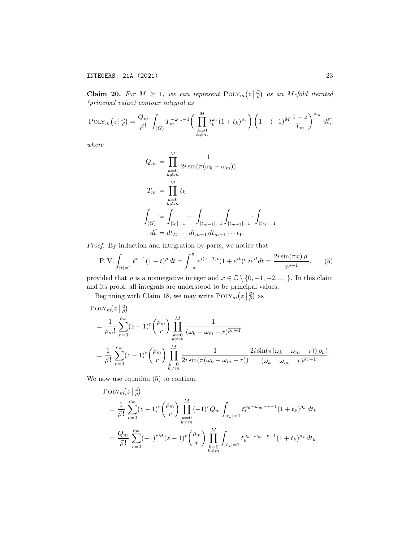Claim 20. For  $M \geq 1$ , we can represent  $\text{POLY}_m(z|\vec{\phi})$  as an M-fold iterated (principal value) contour integral as

$$
POLY_m(z | \frac{z}{\rho}) = \frac{Q_m}{\rho!} \int_{(G)} T_m^{-\omega_m - 1} \left( \prod_{\substack{k=0 \\ k \neq m}}^M t_k^{\omega_k} (1 + t_k)^{\rho_k} \right) \left( 1 - (-1)^M \frac{1 - z}{T_m} \right)^{\rho_m} d\vec{t},
$$

where

$$
Q_m := \prod_{\substack{k=0 \ k \neq m}}^M \frac{1}{2i \sin(\pi(\omega_k - \omega_m))}
$$
  

$$
T_m := \prod_{\substack{k=0 \ k \neq m}}^M t_k
$$
  

$$
\int_{(G)} := \int_{|t_0| = 1} \cdots \int_{|t_{m-1}| = 1} \int_{|t_{m+1}| = 1} \cdot \int_{|t_M| = 1}
$$
  

$$
d\vec{t} := dt_M \cdots dt_{m+1} dt_{m-1} \cdots t_1.
$$

Proof. By induction and integration-by-parts, we notice that

$$
\text{P.V.} \int_{|t|=1} t^{x-1} (1+t)^{\rho} \, dt = \int_{-\pi}^{\pi} e^{i(x-1)t} (1+e^{it})^{\rho} \, i e^{it} \, dt = \frac{2i \sin(\pi x) \, \rho!}{x^{\rho+1}},\qquad(5)
$$

provided that  $\rho$  is a nonnegative integer and  $x \in \mathbb{C} \setminus \{0, -1, -2, \dots\}$ . In this claim and its proof, all integrals are understood to be principal values.

Beginning with Claim 18, we may write  $\text{PoLY}_m(z|\vec{\phi})$  as

$$
\begin{split} &\text{POLY}_{m}(z \mid \frac{\vec{\omega}}{\rho}) \\ &= \frac{1}{\rho_m!} \sum_{r=0}^{\rho_m} (z-1)^r \binom{\rho_m}{r} \prod_{\substack{k=0 \ k \neq m}}^M \frac{1}{(\omega_k - \omega_m - r)^{\overline{\rho_k + 1}}} \\ &= \frac{1}{\vec{\rho}!} \sum_{r=0}^{\rho_m} (z-1)^r \binom{\rho_m}{r} \prod_{\substack{k=0 \ k \neq m}}^M \frac{1}{2i \sin(\pi(\omega_k - \omega_m - r))} \frac{2i \sin(\pi(\omega_k - \omega_m - r)) \rho_k!}{(\omega_k - \omega_m - r)^{\overline{\rho_k + 1}}} . \end{split}
$$

We now use equation (5) to continue

$$
\begin{split} \text{POLY}_{m}(z | \frac{\vec{\omega}}{\rho}) \\ &= \frac{1}{\vec{\rho}!} \sum_{r=0}^{\rho_{m}} (z-1)^{r} \binom{\rho_{m}}{r} \prod_{\substack{k=0 \ k \neq m}}^{M} (-1)^{r} Q_{m} \int_{|t_{k}|=1} t_{k}^{\omega_{k}-\omega_{m}-r-1} (1+t_{k})^{\rho_{k}} dt_{k} \\ &= \frac{Q_{m}}{\vec{\rho}!} \sum_{r=0}^{\rho_{m}} (-1)^{rM} (z-1)^{r} \binom{\rho_{m}}{r} \prod_{\substack{k=0 \ k \neq m}}^{M} \int_{|t_{k}|=1} t_{k}^{\omega_{k}-\omega_{m}-r-1} (1+t_{k})^{\rho_{k}} dt_{k} \end{split}
$$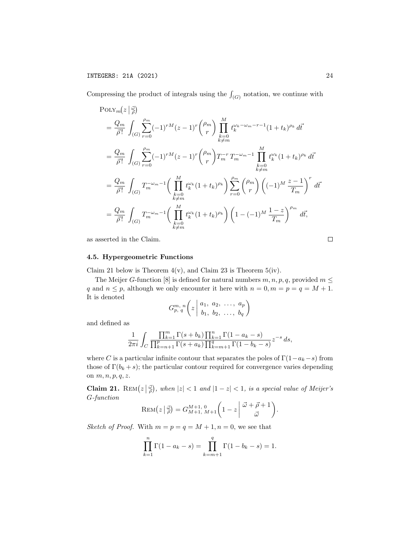Compressing the product of integrals using the  $\int_{(G)}$  notation, we continue with

$$
\begin{split} &\text{POLY}_{m}(z | \frac{d}{\rho}) \\ &= \frac{Q_{m}}{\bar{\rho}!} \int_{(G)} \sum_{r=0}^{\rho_{m}} (-1)^{r} M(z-1)^{r} \binom{\rho_{m}}{r} \prod_{\substack{k=0 \ k \neq m}}^{M} t_{k}^{\omega_{k} - \omega_{m} - r - 1} (1 + t_{k})^{\rho_{k}} d\vec{t} \\ &= \frac{Q_{m}}{\bar{\rho}!} \int_{(G)} \sum_{r=0}^{\rho_{m}} (-1)^{r} M(z-1)^{r} \binom{\rho_{m}}{r} T_{m}^{-r} T_{m}^{-\omega_{m} - 1} \prod_{\substack{k=0 \ k \neq m}}^{M} t_{k}^{\omega_{k}} (1 + t_{k})^{\rho_{k}} d\vec{t} \\ &= \frac{Q_{m}}{\bar{\rho}!} \int_{(G)} T_{m}^{-\omega_{m} - 1} \left( \prod_{\substack{k=0 \ k \neq m}}^{M} t_{k}^{\omega_{k}} (1 + t_{k})^{\rho_{k}} \right) \sum_{r=0}^{\rho_{m}} \binom{\rho_{m}}{r} \left( (-1)^{M} \frac{z-1}{T_{m}} \right)^{r} d\vec{t} \\ &= \frac{Q_{m}}{\bar{\rho}!} \int_{(G)} T_{m}^{-\omega_{m} - 1} \left( \prod_{\substack{k=0 \ k \neq m}}^{M} t_{k}^{\omega_{k}} (1 + t_{k})^{\rho_{k}} \right) \left( 1 - (-1)^{M} \frac{1-z}{T_{m}} \right)^{\rho_{m}} d\vec{t}, \end{split}
$$

as asserted in the Claim.

## 4.5. Hypergeometric Functions

Claim 21 below is Theorem  $4(v)$ , and Claim 23 is Theorem  $5(iv)$ .

The Meijer G-function [8] is defined for natural numbers  $m, n, p, q$ , provided  $m \leq$ q and  $n \leq p$ , although we only encounter it here with  $n = 0, m = p = q = M + 1$ . It is denoted

$$
G_{p, q}^{m, n}\left(z \mid a_1, a_2, \ldots, a_p \atop b_1, b_2, \ldots, b_q\right)
$$

and defined as

$$
\frac{1}{2\pi i}\int_C \frac{\prod_{k=1}^m\Gamma(s+b_k)\prod_{k=1}^n\Gamma(1-a_k-s)}{\prod_{k=n+1}^p\Gamma(s+a_k)\prod_{k=m+1}^q\Gamma(1-b_k-s)}z^{-s}\,ds,
$$

where C is a particular infinite contour that separates the poles of  $\Gamma(1-a_k-s)$  from those of  $\Gamma(b_k + s)$ ; the particular contour required for convergence varies depending on  $m, n, p, q, z$ .

Claim 21. REM $(z|\frac{d}{\rho})$ , when  $|z| < 1$  and  $|1 - z| < 1$ , is a special value of Meijer's G-function

$$
\text{REM}\big(z\,\big|\,\vec{\phi}\big) = G_{M+1,\ M+1}^{M+1,\ 0}\bigg(1-z\,\bigg|\,\vec{\omega}+\vec{\rho}+1\,\bigg).
$$

Sketch of Proof. With  $m = p = q = M + 1, n = 0$ , we see that

$$
\prod_{k=1}^{n} \Gamma(1 - a_k - s) = \prod_{k=m+1}^{q} \Gamma(1 - b_k - s) = 1.
$$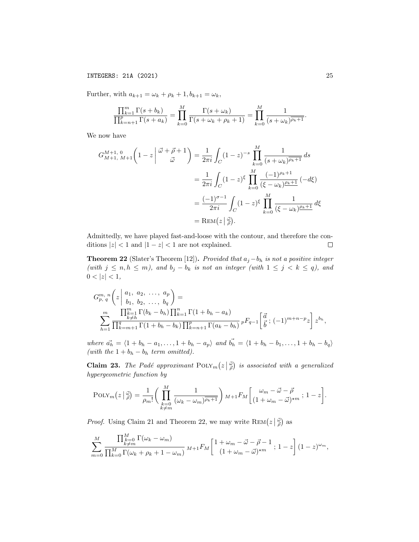INTEGERS: 21A (2021) 25

Further, with  $a_{k+1} = \omega_k + \rho_k + 1$ ,  $b_{k+1} = \omega_k$ ,

$$
\frac{\prod_{k=1}^{m} \Gamma(s+b_k)}{\prod_{k=n+1}^{p} \Gamma(s+a_k)} = \prod_{k=0}^{M} \frac{\Gamma(s+\omega_k)}{\Gamma(s+\omega_k+\rho_k+1)} = \prod_{k=0}^{M} \frac{1}{(s+\omega_k)^{\overline{\rho_k+1}}}.
$$

We now have

$$
G_{M+1, M+1}^{M+1, 0} \left(1 - z\left|\begin{array}{c}\vec{\omega} + \vec{\rho} + 1\\ \vec{\omega}\end{array}\right.\right) = \frac{1}{2\pi i} \int_C (1 - z)^{-s} \prod_{k=0}^M \frac{1}{(s + \omega_k)^{\overline{\rho_k + 1}}} ds
$$
  

$$
= \frac{1}{2\pi i} \int_C (1 - z)^{\xi} \prod_{k=0}^M \frac{(-1)^{\rho_k + 1}}{(\xi - \omega_k)^{\rho_k + 1}} (-d\xi)
$$
  

$$
= \frac{(-1)^{\sigma - 1}}{2\pi i} \int_C (1 - z)^{\xi} \prod_{k=0}^M \frac{1}{(\xi - \omega_k)^{\rho_k + 1}} d\xi
$$
  

$$
= \text{REM}(z | \vec{\omega}).
$$

Admittedly, we have played fast-and-loose with the contour, and therefore the conditions  $|z| < 1$  and  $|1 - z| < 1$  are not explained.  $\Box$ 

**Theorem 22** (Slater's Theorem [12]). Provided that  $a_j - b_h$  is not a positive integer (with  $j \le n, h \le m$ ), and  $b_j - b_k$  is not an integer (with  $1 \le j \le k \le q$ ), and  $0 < |z| < 1$ ,

$$
G_{p, q}^{m, n} \left( z \middle| \begin{array}{l} a_1, a_2, \ldots, a_p \\ b_1, b_2, \ldots, b_q \end{array} \right) =
$$
  

$$
\sum_{h=1}^{m} \frac{\prod_{\substack{k=1 \\ k \neq h}}^{m} \Gamma(b_k - b_h) \prod_{k=1}^{n} \Gamma(1 + b_h - a_k)}{\prod_{k=m+1}^{q} \Gamma(1 + b_h - b_k) \prod_{k=n+1}^{p} \Gamma(a_k - b_h)} p F_{q-1} \left[ \frac{d}{b} ; (-1)^{m+n-p} z \right] z^{b_h},
$$

where  $\vec{a_h} = \langle 1 + b_h - a_1, \ldots, 1 + b_h - a_p \rangle$  and  $\vec{b_h} = \langle 1 + b_h - b_1, \ldots, 1 + b_h - b_q \rangle$ (with the  $1 + b_h - b_h$  term omitted).

**Claim 23.** The Padé approximant  $\text{PoIN}_m(z|\vec{\phi})$  is associated with a generalized hypergeometric function by

$$
\text{POLY}_m(z \mid \vec{\tilde{\rho}}) = \frac{1}{\rho_m!} \bigg( \prod_{\substack{k=0 \\ k \neq m}}^M \frac{1}{(\omega_k - \omega_m)^{\overline{\rho_k+1}}} \bigg) M + {}_1F_M \bigg[ \frac{\omega_m - \vec{\omega} - \vec{\rho}}{(1 + \omega_m - \vec{\omega})^{\star m}} \, ; \, 1 - z \bigg].
$$

*Proof.* Using Claim 21 and Theorem 22, we may write  $\text{Rem}(z | \frac{\vec{\omega}}{\rho})$  as

$$
\sum_{m=0}^{M} \frac{\prod_{\substack{k=0 \ k \neq m}}^{M} \Gamma(\omega_k - \omega_m)}{\prod_{k=0}^{M} \Gamma(\omega_k + \rho_k + 1 - \omega_m)} M + iF_M \left[ \frac{1 + \omega_m - \vec{\omega} - \vec{\rho} - 1}{(1 + \omega_m - \vec{\omega})^{\star m}} \right] (1 - z)^{\omega_m},
$$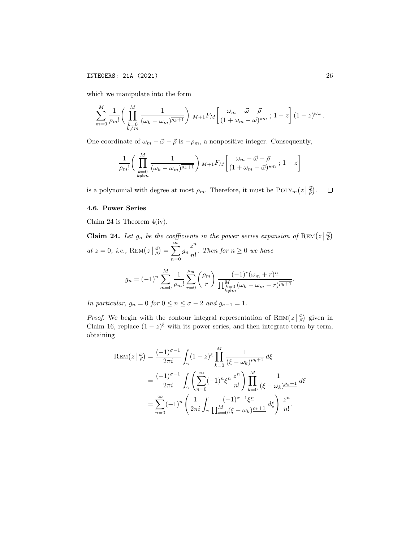which we manipulate into the form

$$
\sum_{m=0}^{M} \frac{1}{\rho_m!} \left( \prod_{\substack{k=0 \\ k \neq m}}^{M} \frac{1}{(\omega_k - \omega_m)^{\overline{\rho_k+1}}} \right) M + 1} F_M \left[ \frac{\omega_m - \vec{\omega} - \vec{\rho}}{(1 + \omega_m - \vec{\omega})^{\star m}} ; 1 - z \right] (1 - z)^{\omega_m}.
$$

One coordinate of  $\omega_m - \vec{\omega} - \vec{\rho}$  is  $-\rho_m$ , a nonpositive integer. Consequently,

$$
\frac{1}{\rho_m!} \bigg( \prod_{\substack{k=0 \ k \neq m}}^M \frac{1}{(\omega_k - \omega_m)^{\overline{\rho_k} + 1}} \bigg) M + 1} F_M \bigg[ \frac{\omega_m - \vec{\omega} - \vec{\rho}}{(1 + \omega_m - \vec{\omega})^{\star m}} ; 1 - z \bigg]
$$

is a polynomial with degree at most  $\rho_m$ . Therefore, it must be  $\text{PoLY}_m(z|\frac{\vec{\omega}}{\rho})$ .  $\Box$ 

## 4.6. Power Series

Claim 24 is Theorem 4(iv).

**Claim 24.** Let  $g_n$  be the coefficients in the power series expansion of  $\text{Rem}(z|\vec{\phi})$ at  $z = 0$ , *i.e.*,  $\text{REM}(z | \frac{\vec{\omega}}{\rho}) = \sum_{\alpha}^{\infty}$  $n=0$  $g_n \frac{z^n}{\cdot}$  $\frac{\infty}{n!}$ . Then for  $n \geq 0$  we have  $g_n = (-1)^n \sum_{n=1}^{M}$  $m=0$ 1  $\rho_m!$  $\sum$  $\rho_m$  $r=0$  $\int \rho_m$ r  $\left( -1\right) ^{r}(\omega_{m}+r)^{n}$  $\frac{\sqrt{M+1}}{\prod_{\substack{k=0 \ k \neq m}}^{M} (\omega_k - \omega_m - r)^{\overline{\rho_k+1}}}.$ 

In particular,  $g_n = 0$  for  $0 \le n \le \sigma - 2$  and  $g_{\sigma-1} = 1$ .

*Proof.* We begin with the contour integral representation of  $\text{REM}(z|\vec{\phi})$  given in Claim 16, replace  $(1-z)^{\xi}$  with its power series, and then integrate term by term, obtaining

$$
\text{REM}(z | \frac{a}{\rho}) = \frac{(-1)^{\sigma - 1}}{2\pi i} \int_{\gamma} (1 - z)^{\xi} \prod_{k=0}^{M} \frac{1}{(\xi - \omega_k)^{\rho_k + 1}} d\xi
$$
  
= 
$$
\frac{(-1)^{\sigma - 1}}{2\pi i} \int_{\gamma} \left( \sum_{n=0}^{\infty} (-1)^n \xi^n \frac{z^n}{n!} \right) \prod_{k=0}^{M} \frac{1}{(\xi - \omega_k)^{\rho_k + 1}} d\xi
$$
  
= 
$$
\sum_{n=0}^{\infty} (-1)^n \left( \frac{1}{2\pi i} \int_{\gamma} \frac{(-1)^{\sigma - 1} \xi^n}{\prod_{k=0}^{M} (\xi - \omega_k)^{\rho_k + 1}} d\xi \right) \frac{z^n}{n!}.
$$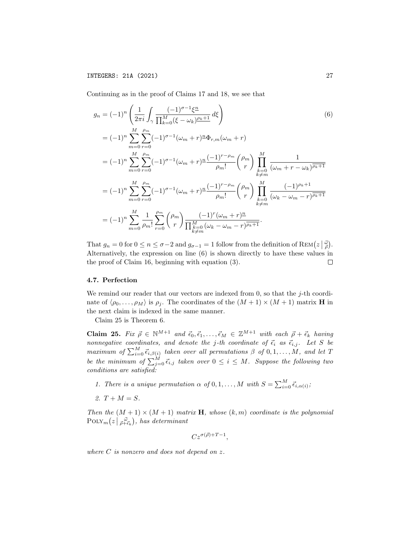Continuing as in the proof of Claims 17 and 18, we see that

$$
g_n = (-1)^n \left( \frac{1}{2\pi i} \int_{\gamma} \frac{(-1)^{\sigma-1} \xi^n}{\prod_{k=0}^M (\xi - \omega_k)^{\rho_k + 1}} d\xi \right)
$$
\n
$$
= (-1)^n \sum_{m=0}^M \sum_{r=0}^{\rho_m} (-1)^{\sigma-1} (\omega_m + r)^n \Phi_{r,m}(\omega_m + r)
$$
\n
$$
= (-1)^n \sum_{m=0}^M \sum_{r=0}^{\rho_m} (-1)^{\sigma-1} (\omega_m + r)^n \frac{(-1)^{r-\rho_m}}{\rho_m!} {r \choose r} \prod_{\substack{k=0 \ k \neq m}}^M \frac{1}{(\omega_m + r - \omega_k)^{\rho_k + 1}}
$$
\n
$$
= (-1)^n \sum_{m=0}^M \sum_{r=0}^{\rho_m} (-1)^{\sigma-1} (\omega_m + r)^n \frac{(-1)^{r-\rho_m}}{\rho_m!} {r \choose r} \prod_{\substack{k=0 \ k \neq m}}^M \frac{(-1)^{\rho_k + 1}}{(\omega_k - \omega_m - r)^{\rho_k + 1}}
$$
\n
$$
= (-1)^n \sum_{m=0}^M \frac{1}{\rho_m!} \sum_{r=0}^{\rho_m} {r \choose r} \frac{(-1)^r (\omega_m + r)^n}{\prod_{\substack{k=0 \ k \neq m}}^M (\omega_k - \omega_m - r)^{\rho_k + 1}}.
$$
\n(6)

That  $g_n = 0$  for  $0 \le n \le \sigma - 2$  and  $g_{\sigma-1} = 1$  follow from the definition of  $\text{REM}(z|\frac{\vec{\omega}}{\rho})$ . Alternatively, the expression on line (6) is shown directly to have these values in the proof of Claim 16, beginning with equation (3).  $\Box$ 

#### 4.7. Perfection

We remind our reader that our vectors are indexed from 0, so that the  $j$ -th coordinate of  $\langle \rho_0, \ldots, \rho_M \rangle$  is  $\rho_i$ . The coordinates of the  $(M + 1) \times (M + 1)$  matrix **H** in the next claim is indexed in the same manner.

Claim 25 is Theorem 6.

**Claim 25.** Fix  $\vec{\rho} \in \mathbb{N}^{M+1}$  and  $\vec{\epsilon}_0, \vec{\epsilon}_1, \ldots, \vec{\epsilon}_M \in \mathbb{Z}^{M+1}$  with each  $\vec{\rho} + \vec{\epsilon}_k$  having nonnegative coordinates, and denote the j-th coordinate of  $\vec{\epsilon}_i$  as  $\vec{\epsilon}_{i,j}$ . Let S be maximum of  $\sum_{i=0}^{M} \vec{\epsilon}_{i,\beta(i)}$  taken over all permutations  $\beta$  of  $0, 1, \ldots, M$ , and let T be the minimum of  $\sum_{j=0}^{M} \vec{\epsilon}_{i,j}$  taken over  $0 \leq i \leq M$ . Suppose the following two conditions are satisfied:

- 1. There is a unique permutation  $\alpha$  of  $0, 1, ..., M$  with  $S = \sum_{i=0}^{M} \vec{\epsilon}_{i,\alpha(i)}$ ;
- 2.  $T + M = S$ .

Then the  $(M + 1) \times (M + 1)$  matrix **H**, whose  $(k, m)$  coordinate is the polynomial  $\text{POLY}_m(z \mid \vec{\rho}^{\vec{\mu}}_{+\vec{\epsilon}_k}),\$  has determinant

$$
C z^{\sigma(\vec{\rho})+T-1},
$$

where  $C$  is nonzero and does not depend on  $z$ .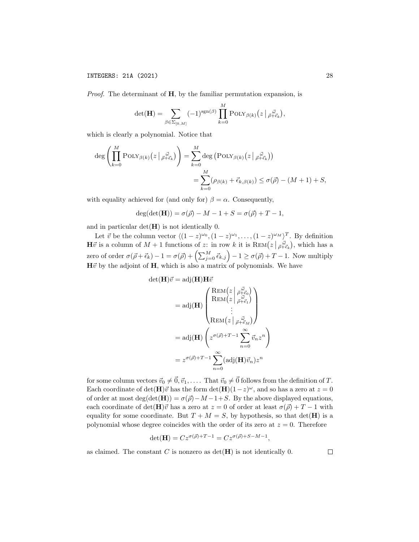*Proof.* The determinant of  $H$ , by the familiar permutation expansion, is

$$
\det(\mathbf{H}) = \sum_{\beta \in \Sigma_{[0,M]}} (-1)^{\operatorname{sgn}(\beta)} \prod_{k=0}^{M} \operatorname{POLY}_{\beta(k)}(z \mid \vec{B}^{\vec{\omega}}_{+\vec{\epsilon}_k}),
$$

which is clearly a polynomial. Notice that

$$
\deg \left( \prod_{k=0}^{M} \text{POLY}_{\beta(k)}(z \mid \vec{\rho} \cdot \vec{\epsilon}_{k}) \right) = \sum_{k=0}^{M} \deg \left( \text{POLY}_{\beta(k)}(z \mid \vec{\rho} \cdot \vec{\epsilon}_{k}) \right)
$$
  

$$
= \sum_{k=0}^{M} (\rho_{\beta(k)} + \vec{\epsilon}_{k,\beta(k)}) \le \sigma(\vec{\rho}) - (M+1) + S,
$$

with equality achieved for (and only for)  $\beta = \alpha$ . Consequently,

$$
deg(det(\mathbf{H})) = \sigma(\vec{\rho}) - M - 1 + S = \sigma(\vec{\rho}) + T - 1,
$$

and in particular  $det(\mathbf{H})$  is not identically 0.

Let  $\vec{v}$  be the column vector  $\langle (1-z)^{\omega_0}, (1-z)^{\omega_1}, \ldots, (1-z)^{\omega_M} \rangle^T$ . By definition  $\mathbf{H}\vec{v}$  is a column of  $M+1$  functions of z: in row k it is  $\text{REM}(z\mid \vec{\rho}^{\vec{\omega}}_{+\vec{\epsilon}_k})$ , which has a zero of order  $\sigma(\vec{\rho} + \vec{\epsilon}_k) - 1 = \sigma(\vec{\rho}) + \left(\sum_{j=0}^M \vec{\epsilon}_{k,j}\right) - 1 \ge \sigma(\vec{\rho}) + T - 1$ . Now multiply  $H\vec{v}$  by the adjoint of H, which is also a matrix of polynomials. We have

$$
\det(\mathbf{H})\vec{v} = \text{adj}(\mathbf{H})\mathbf{H}\vec{v}
$$

$$
= \text{adj}(\mathbf{H}) \begin{pmatrix} \text{REM}(z \mid \vec{\rho} \cdot \vec{e_0}) \\ \text{REM}(z \mid \vec{\rho} \cdot \vec{e_1}) \\ \vdots \\ \text{REM}(z \mid \vec{\rho} \cdot \vec{e_M}) \end{pmatrix}
$$

$$
= \text{adj}(\mathbf{H}) \begin{pmatrix} z^{\sigma(\vec{\rho})+T-1} \sum_{n=0}^{\infty} \vec{v}_n z^n \\ z^{\sigma(\vec{\rho})+T-1} \sum_{n=0}^{\infty} (\text{adj}(\mathbf{H})\vec{v}_n) z^n \end{pmatrix}
$$

 $\setminus$ 

for some column vectors  $\vec{v}_0 \neq \vec{0}, \vec{v}_1, \ldots$  That  $\vec{v}_0 \neq \vec{0}$  follows from the definition of T. Each coordinate of det(H) $\vec{v}$  has the form det(H)(1-z)<sup>ω</sup>, and so has a zero at  $z = 0$ of order at most deg(det(H)) =  $\sigma(\vec{\rho}) - M - 1 + S$ . By the above displayed equations, each coordinate of det(H) $\vec{v}$  has a zero at  $z = 0$  of order at least  $\sigma(\vec{\rho}) + T - 1$  with equality for some coordinate. But  $T + M = S$ , by hypothesis, so that  $det(\mathbf{H})$  is a polynomial whose degree coincides with the order of its zero at  $z = 0$ . Therefore

$$
\det(\mathbf{H}) = Cz^{\sigma(\vec{\rho})+T-1} = Cz^{\sigma(\vec{\rho})+S-M-1},
$$

as claimed. The constant  $C$  is nonzero as  $\det(\mathbf{H})$  is not identically 0.